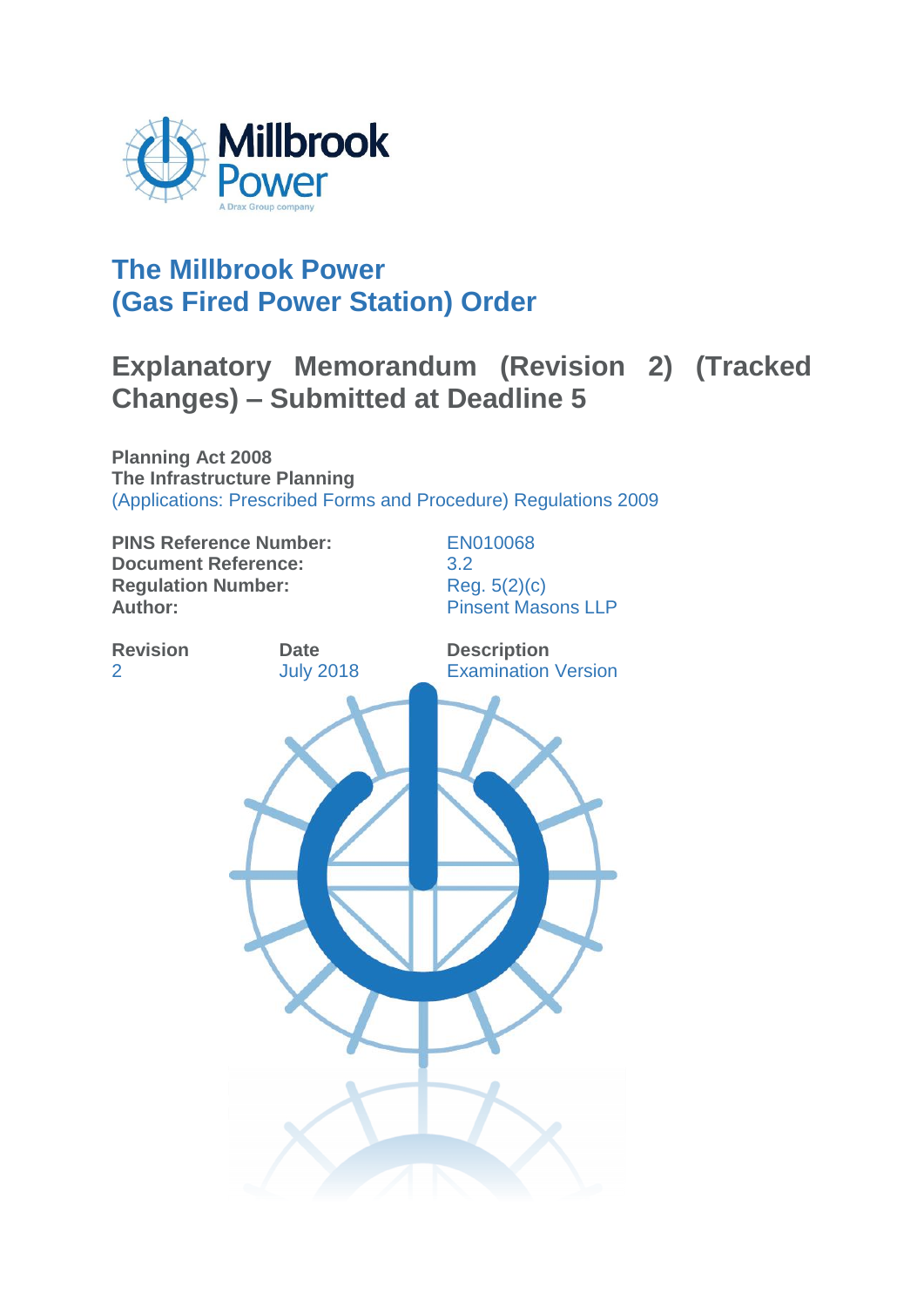

# **The Millbrook Power (Gas Fired Power Station) Order**

# **Explanatory Memorandum (Revision 2) (Tracked Changes) – Submitted at Deadline 5**

**Planning Act 2008 The Infrastructure Planning**  (Applications: Prescribed Forms and Procedure) Regulations 2009

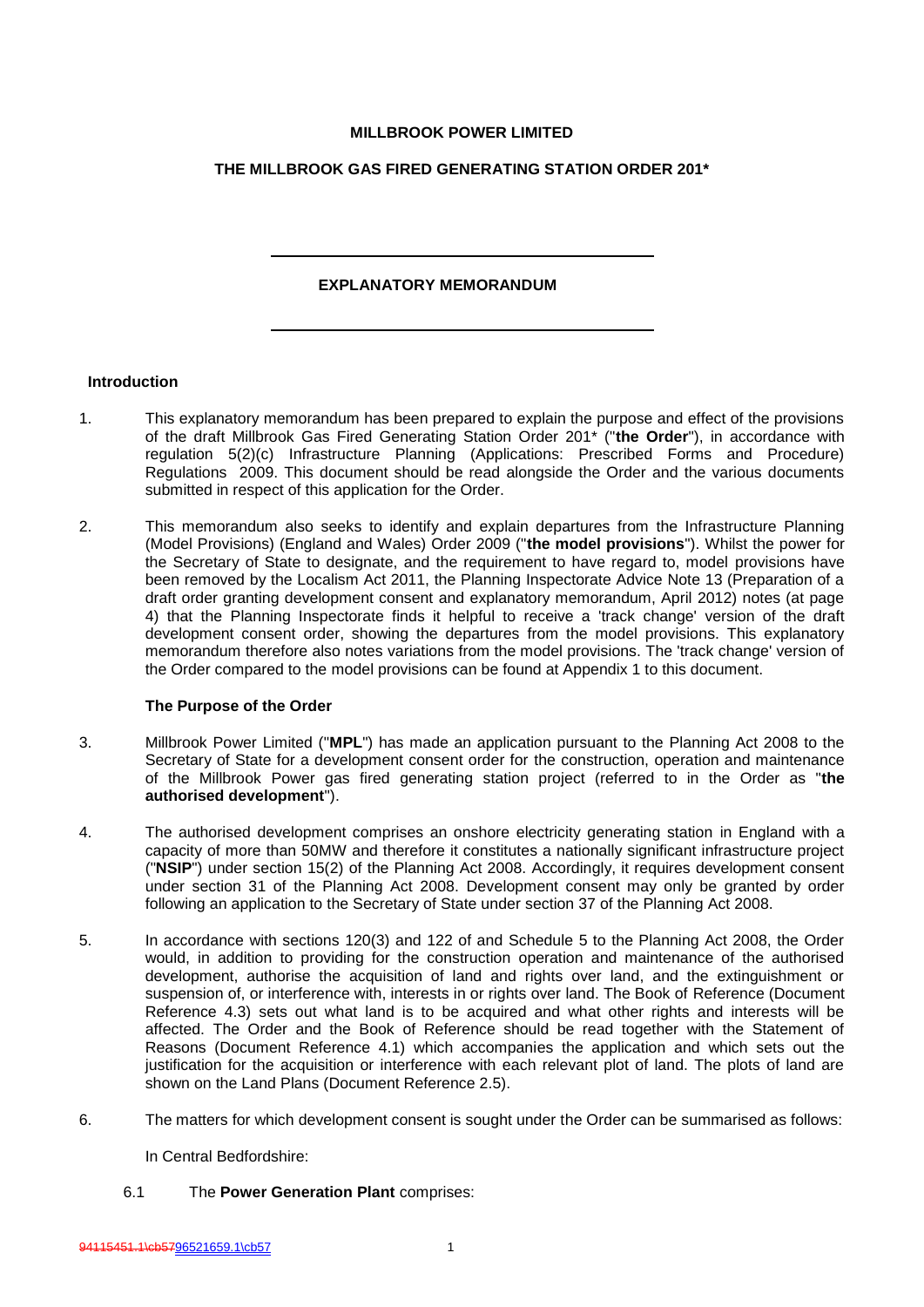## **MILLBROOK POWER LIMITED**

# **THE MILLBROOK GAS FIRED GENERATING STATION ORDER 201\***

# **EXPLANATORY MEMORANDUM**

#### **Introduction**

- 1. This explanatory memorandum has been prepared to explain the purpose and effect of the provisions of the draft Millbrook Gas Fired Generating Station Order 201\* ("**the Order**"), in accordance with regulation 5(2)(c) Infrastructure Planning (Applications: Prescribed Forms and Procedure) Regulations 2009. This document should be read alongside the Order and the various documents submitted in respect of this application for the Order.
- 2. This memorandum also seeks to identify and explain departures from the Infrastructure Planning (Model Provisions) (England and Wales) Order 2009 ("**the model provisions**"). Whilst the power for the Secretary of State to designate, and the requirement to have regard to, model provisions have been removed by the Localism Act 2011, the Planning Inspectorate Advice Note 13 (Preparation of a draft order granting development consent and explanatory memorandum, April 2012) notes (at page 4) that the Planning Inspectorate finds it helpful to receive a 'track change' version of the draft development consent order, showing the departures from the model provisions. This explanatory memorandum therefore also notes variations from the model provisions. The 'track change' version of the Order compared to the model provisions can be found at Appendix 1 to this document.

#### **The Purpose of the Order**

- 3. Millbrook Power Limited ("**MPL**") has made an application pursuant to the Planning Act 2008 to the Secretary of State for a development consent order for the construction, operation and maintenance of the Millbrook Power gas fired generating station project (referred to in the Order as "**the authorised development**").
- 4. The authorised development comprises an onshore electricity generating station in England with a capacity of more than 50MW and therefore it constitutes a nationally significant infrastructure project ("**NSIP**") under section 15(2) of the Planning Act 2008. Accordingly, it requires development consent under section 31 of the Planning Act 2008. Development consent may only be granted by order following an application to the Secretary of State under section 37 of the Planning Act 2008.
- 5. In accordance with sections 120(3) and 122 of and Schedule 5 to the Planning Act 2008, the Order would, in addition to providing for the construction operation and maintenance of the authorised development, authorise the acquisition of land and rights over land, and the extinguishment or suspension of, or interference with, interests in or rights over land. The Book of Reference (Document Reference 4.3) sets out what land is to be acquired and what other rights and interests will be affected. The Order and the Book of Reference should be read together with the Statement of Reasons (Document Reference 4.1) which accompanies the application and which sets out the justification for the acquisition or interference with each relevant plot of land. The plots of land are shown on the Land Plans (Document Reference 2.5).
- 6. The matters for which development consent is sought under the Order can be summarised as follows:

In Central Bedfordshire:

6.1 The **Power Generation Plant** comprises: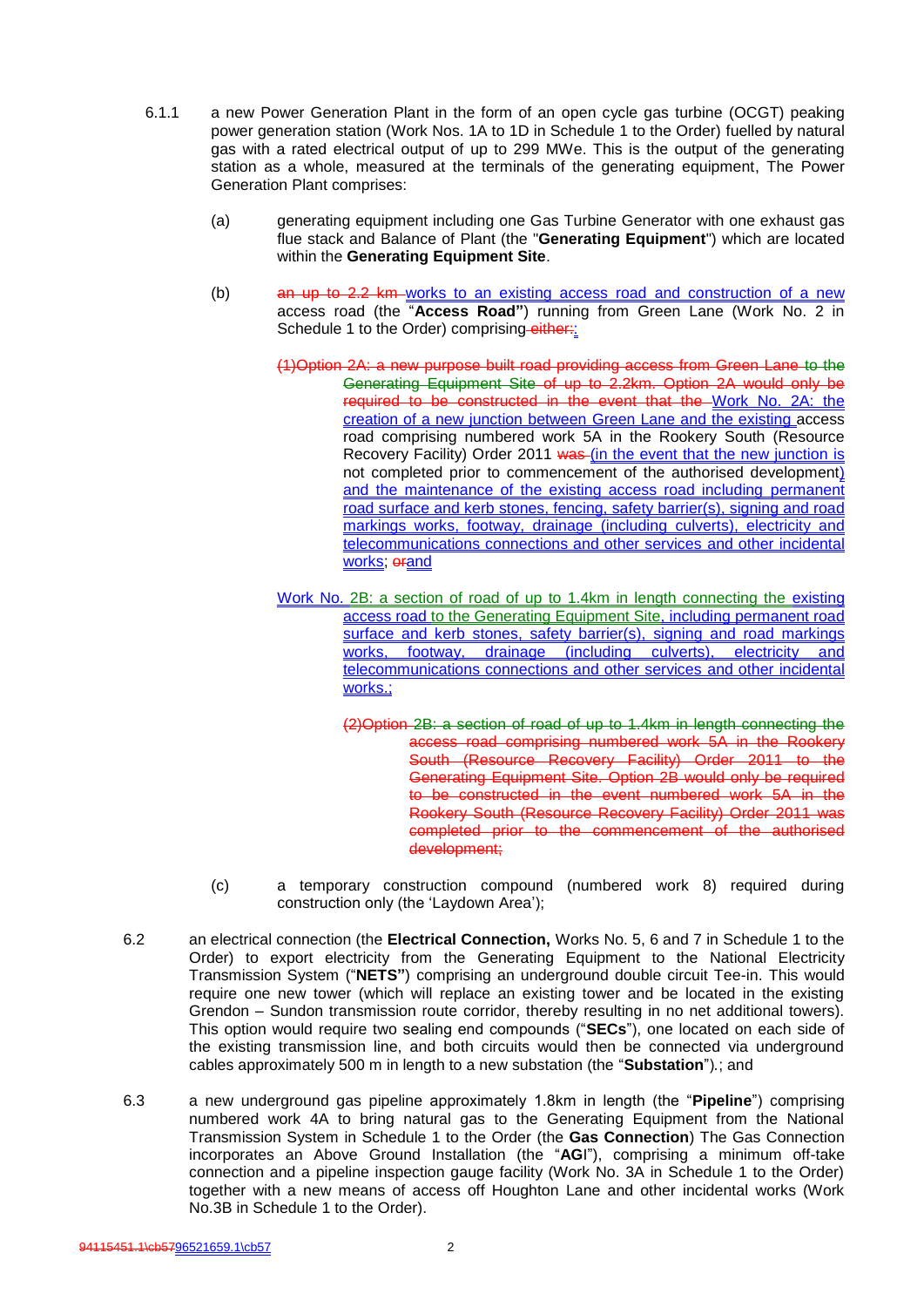- 6.1.1 a new Power Generation Plant in the form of an open cycle gas turbine (OCGT) peaking power generation station (Work Nos. 1A to 1D in Schedule 1 to the Order) fuelled by natural gas with a rated electrical output of up to 299 MWe. This is the output of the generating station as a whole, measured at the terminals of the generating equipment, The Power Generation Plant comprises:
	- (a) generating equipment including one Gas Turbine Generator with one exhaust gas flue stack and Balance of Plant (the "**Generating Equipment**") which are located within the **Generating Equipment Site**.
	- (b) an up to 2.2 km works to an existing access road and construction of a new access road (the "**Access Road"**) running from Green Lane (Work No. 2 in Schedule 1 to the Order) comprising-either:
		- (1)Option 2A: a new purpose built road providing access from Green Lane to the Generating Equipment Site of up to 2.2km. Option 2A would only be required to be constructed in the event that the Work No. 2A: the creation of a new junction between Green Lane and the existing access road comprising numbered work 5A in the Rookery South (Resource Recovery Facility) Order 2011 was (in the event that the new junction is not completed prior to commencement of the authorised development) and the maintenance of the existing access road including permanent road surface and kerb stones, fencing, safety barrier(s), signing and road markings works, footway, drainage (including culverts), electricity and telecommunications connections and other services and other incidental works; erand
		- Work No. 2B: a section of road of up to 1.4km in length connecting the existing access road to the Generating Equipment Site, including permanent road surface and kerb stones, safety barrier(s), signing and road markings<br>works, footway, drainage (including culverts), electricity and footway, drainage (including culverts), electricity telecommunications connections and other services and other incidental works.:
			- (2)Option 2B: a section of road of up to 1.4km in length connecting the access road comprising numbered work 5A in the Rookery South (Resource Recovery Facility) Order 2011 to the Generating Equipment Site. Option 2B would only be required to be constructed in the event numbered work 5A in the Rookery South (Resource Recovery Facility) Order 2011 was completed prior to the commencement of the authorised development;
	- (c) a temporary construction compound (numbered work 8) required during construction only (the 'Laydown Area');
- 6.2 an electrical connection (the **Electrical Connection,** Works No. 5, 6 and 7 in Schedule 1 to the Order) to export electricity from the Generating Equipment to the National Electricity Transmission System ("**NETS"**) comprising an underground double circuit Tee-in. This would require one new tower (which will replace an existing tower and be located in the existing Grendon – Sundon transmission route corridor, thereby resulting in no net additional towers). This option would require two sealing end compounds ("**SECs**"), one located on each side of the existing transmission line, and both circuits would then be connected via underground cables approximately 500 m in length to a new substation (the "**Substation**")*.*; and
- 6.3 a new underground gas pipeline approximately 1.8km in length (the "**Pipeline**") comprising numbered work 4A to bring natural gas to the Generating Equipment from the National Transmission System in Schedule 1 to the Order (the **Gas Connection**) The Gas Connection incorporates an Above Ground Installation (the "**AG**I"), comprising a minimum off-take connection and a pipeline inspection gauge facility (Work No. 3A in Schedule 1 to the Order) together with a new means of access off Houghton Lane and other incidental works (Work No.3B in Schedule 1 to the Order).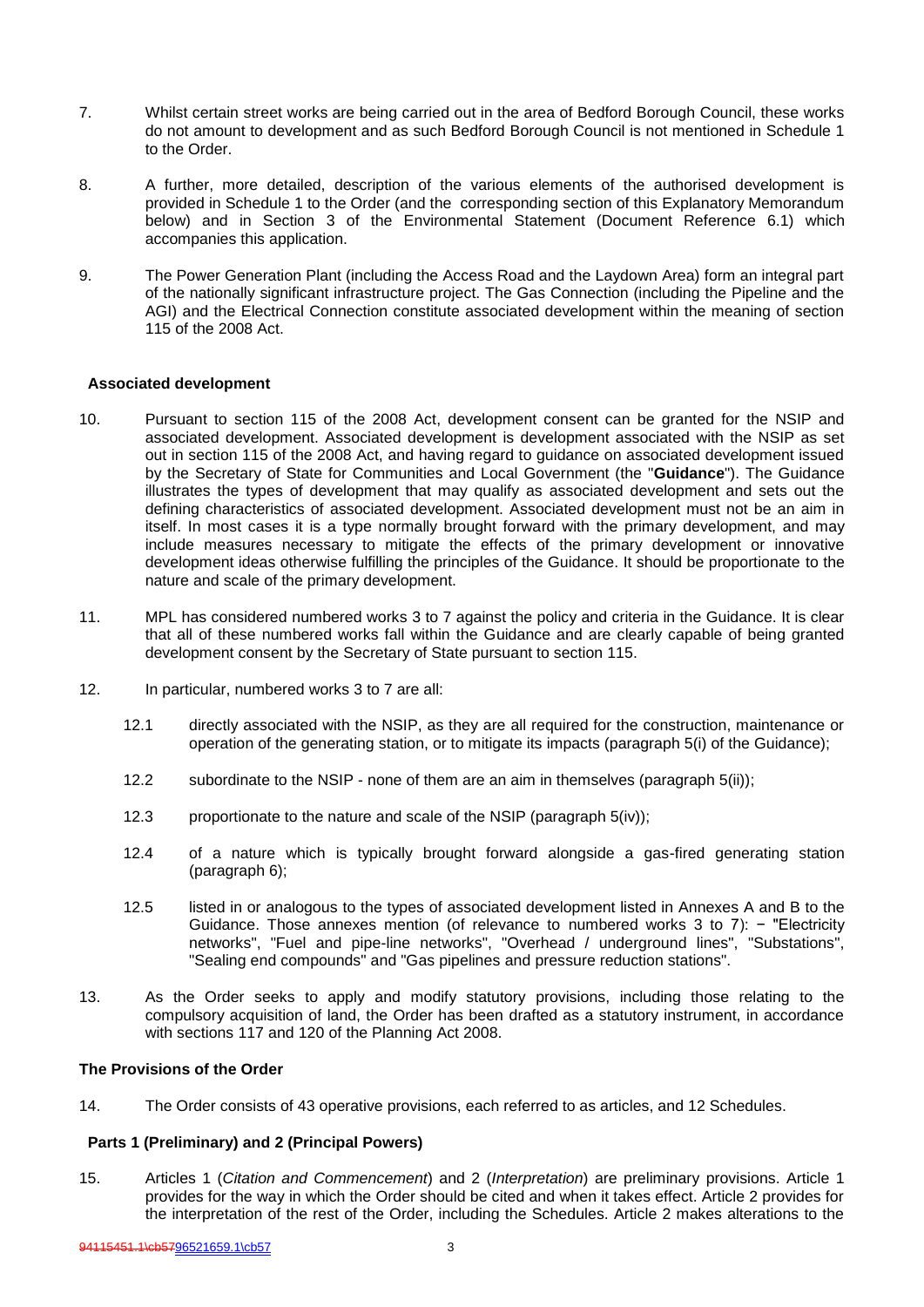- 7. Whilst certain street works are being carried out in the area of Bedford Borough Council, these works do not amount to development and as such Bedford Borough Council is not mentioned in Schedule 1 to the Order.
- 8. A further, more detailed, description of the various elements of the authorised development is provided in Schedule 1 to the Order (and the corresponding section of this Explanatory Memorandum below) and in Section 3 of the Environmental Statement (Document Reference 6.1) which accompanies this application.
- 9. The Power Generation Plant (including the Access Road and the Laydown Area) form an integral part of the nationally significant infrastructure project. The Gas Connection (including the Pipeline and the AGI) and the Electrical Connection constitute associated development within the meaning of section 115 of the 2008 Act.

#### **Associated development**

- 10. Pursuant to section 115 of the 2008 Act, development consent can be granted for the NSIP and associated development. Associated development is development associated with the NSIP as set out in section 115 of the 2008 Act, and having regard to guidance on associated development issued by the Secretary of State for Communities and Local Government (the "**Guidance**"). The Guidance illustrates the types of development that may qualify as associated development and sets out the defining characteristics of associated development. Associated development must not be an aim in itself. In most cases it is a type normally brought forward with the primary development, and may include measures necessary to mitigate the effects of the primary development or innovative development ideas otherwise fulfilling the principles of the Guidance. It should be proportionate to the nature and scale of the primary development.
- 11. MPL has considered numbered works 3 to 7 against the policy and criteria in the Guidance. It is clear that all of these numbered works fall within the Guidance and are clearly capable of being granted development consent by the Secretary of State pursuant to section 115.
- 12. In particular, numbered works 3 to 7 are all:
	- 12.1 directly associated with the NSIP, as they are all required for the construction, maintenance or operation of the generating station, or to mitigate its impacts (paragraph 5(i) of the Guidance);
	- 12.2 subordinate to the NSIP none of them are an aim in themselves (paragraph 5(ii));
	- 12.3 proportionate to the nature and scale of the NSIP (paragraph 5(iv));
	- 12.4 of a nature which is typically brought forward alongside a gas-fired generating station (paragraph 6);
	- 12.5 listed in or analogous to the types of associated development listed in Annexes A and B to the Guidance. Those annexes mention (of relevance to numbered works 3 to 7): − "Electricity networks", "Fuel and pipe-line networks", "Overhead / underground lines", "Substations", "Sealing end compounds" and "Gas pipelines and pressure reduction stations".
- 13. As the Order seeks to apply and modify statutory provisions, including those relating to the compulsory acquisition of land, the Order has been drafted as a statutory instrument, in accordance with sections 117 and 120 of the Planning Act 2008.

#### **The Provisions of the Order**

14. The Order consists of 43 operative provisions, each referred to as articles, and 12 Schedules.

# **Parts 1 (Preliminary) and 2 (Principal Powers)**

15. Articles 1 (*Citation and Commencement*) and 2 (*Interpretation*) are preliminary provisions. Article 1 provides for the way in which the Order should be cited and when it takes effect. Article 2 provides for the interpretation of the rest of the Order, including the Schedules. Article 2 makes alterations to the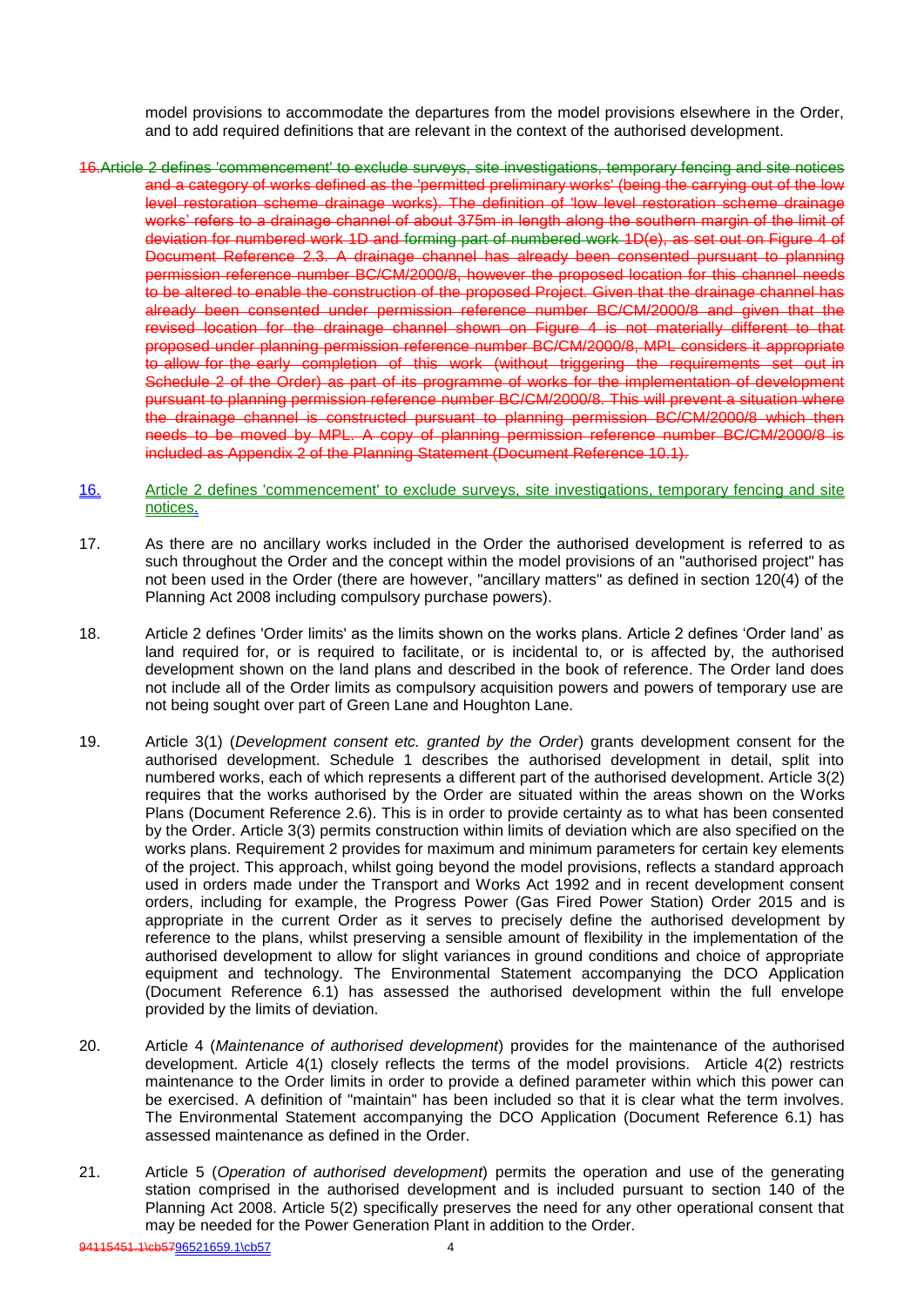model provisions to accommodate the departures from the model provisions elsewhere in the Order, and to add required definitions that are relevant in the context of the authorised development.

- 16.Article 2 defines 'commencement' to exclude surveys, site investigations, temporary fencing and site notices and a category of works defined as the 'permitted preliminary works' (being the carrying out of the low level restoration scheme drainage works). The definition of 'low level restoration scheme drainage works' refers to a drainage channel of about 375m in length along the southern margin of the limit of deviation for numbered work 1D and forming part of numbered work 1D(e), as set out on Figure 4 of Document Reference 2.3. A drainage channel has already been consented pursuant to planning permission reference number BC/CM/2000/8, however the proposed location for this channel needs to be altered to enable the construction of the proposed Project. Given that the drainage channel has already been consented under permission reference number BC/CM/2000/8 and given that the revised location for the drainage channel shown on Figure 4 is not materially different to that proposed under planning permission reference number BC/CM/2000/8, MPL considers it appropriate to allow for the early completion of this work (without triggering the requirements set out in Schedule 2 of the Order) as part of its programme of works for the implementation of development pursuant to planning permission reference number BC/CM/2000/8. This will prevent a situation where the drainage channel is constructed pursuant to planning permission BC/CM/2000/8 which then needs to be moved by MPL. A copy of planning permission reference number BC/CM/2000/8 is included as Appendix 2 of the Planning Statement (Document Reference 10.1).
- 16. Article 2 defines 'commencement' to exclude surveys, site investigations, temporary fencing and site notices.
- 17. As there are no ancillary works included in the Order the authorised development is referred to as such throughout the Order and the concept within the model provisions of an "authorised project" has not been used in the Order (there are however, "ancillary matters" as defined in section 120(4) of the Planning Act 2008 including compulsory purchase powers).
- 18. Article 2 defines 'Order limits' as the limits shown on the works plans. Article 2 defines 'Order land' as land required for, or is required to facilitate, or is incidental to, or is affected by, the authorised development shown on the land plans and described in the book of reference. The Order land does not include all of the Order limits as compulsory acquisition powers and powers of temporary use are not being sought over part of Green Lane and Houghton Lane.
- 19. Article 3(1) (*Development consent etc. granted by the Order*) grants development consent for the authorised development. Schedule 1 describes the authorised development in detail, split into numbered works, each of which represents a different part of the authorised development. Article 3(2) requires that the works authorised by the Order are situated within the areas shown on the Works Plans (Document Reference 2.6). This is in order to provide certainty as to what has been consented by the Order. Article 3(3) permits construction within limits of deviation which are also specified on the works plans. Requirement 2 provides for maximum and minimum parameters for certain key elements of the project. This approach, whilst going beyond the model provisions, reflects a standard approach used in orders made under the Transport and Works Act 1992 and in recent development consent orders, including for example, the Progress Power (Gas Fired Power Station) Order 2015 and is appropriate in the current Order as it serves to precisely define the authorised development by reference to the plans, whilst preserving a sensible amount of flexibility in the implementation of the authorised development to allow for slight variances in ground conditions and choice of appropriate equipment and technology. The Environmental Statement accompanying the DCO Application (Document Reference 6.1) has assessed the authorised development within the full envelope provided by the limits of deviation.
- 20. Article 4 (*Maintenance of authorised development*) provides for the maintenance of the authorised development. Article 4(1) closely reflects the terms of the model provisions. Article 4(2) restricts maintenance to the Order limits in order to provide a defined parameter within which this power can be exercised. A definition of "maintain" has been included so that it is clear what the term involves. The Environmental Statement accompanying the DCO Application (Document Reference 6.1) has assessed maintenance as defined in the Order.
- 21. Article 5 (*Operation of authorised development*) permits the operation and use of the generating station comprised in the authorised development and is included pursuant to section 140 of the Planning Act 2008. Article 5(2) specifically preserves the need for any other operational consent that may be needed for the Power Generation Plant in addition to the Order.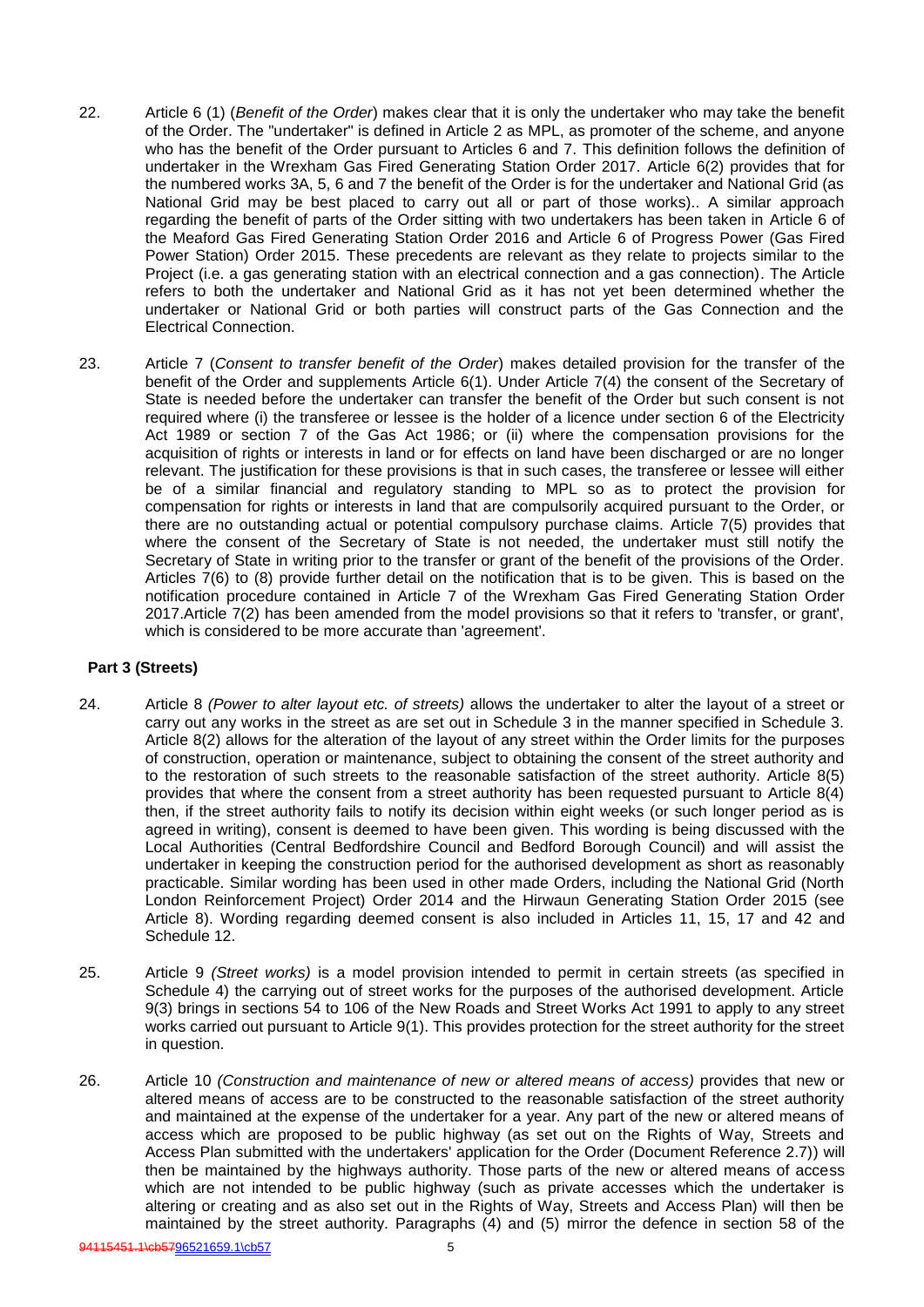- 22. Article 6 (1) (*Benefit of the Order*) makes clear that it is only the undertaker who may take the benefit of the Order. The "undertaker" is defined in Article 2 as MPL, as promoter of the scheme, and anyone who has the benefit of the Order pursuant to Articles 6 and 7. This definition follows the definition of undertaker in the Wrexham Gas Fired Generating Station Order 2017. Article 6(2) provides that for the numbered works 3A, 5, 6 and 7 the benefit of the Order is for the undertaker and National Grid (as National Grid may be best placed to carry out all or part of those works).. A similar approach regarding the benefit of parts of the Order sitting with two undertakers has been taken in Article 6 of the Meaford Gas Fired Generating Station Order 2016 and Article 6 of Progress Power (Gas Fired Power Station) Order 2015. These precedents are relevant as they relate to projects similar to the Project (i.e. a gas generating station with an electrical connection and a gas connection). The Article refers to both the undertaker and National Grid as it has not yet been determined whether the undertaker or National Grid or both parties will construct parts of the Gas Connection and the Electrical Connection.
- 23. Article 7 (*Consent to transfer benefit of the Order*) makes detailed provision for the transfer of the benefit of the Order and supplements Article 6(1). Under Article 7(4) the consent of the Secretary of State is needed before the undertaker can transfer the benefit of the Order but such consent is not required where (i) the transferee or lessee is the holder of a licence under section 6 of the Electricity Act 1989 or section 7 of the Gas Act 1986; or (ii) where the compensation provisions for the acquisition of rights or interests in land or for effects on land have been discharged or are no longer relevant. The justification for these provisions is that in such cases, the transferee or lessee will either be of a similar financial and regulatory standing to MPL so as to protect the provision for compensation for rights or interests in land that are compulsorily acquired pursuant to the Order, or there are no outstanding actual or potential compulsory purchase claims. Article 7(5) provides that where the consent of the Secretary of State is not needed, the undertaker must still notify the Secretary of State in writing prior to the transfer or grant of the benefit of the provisions of the Order. Articles 7(6) to (8) provide further detail on the notification that is to be given. This is based on the notification procedure contained in Article 7 of the Wrexham Gas Fired Generating Station Order 2017.Article 7(2) has been amended from the model provisions so that it refers to 'transfer, or grant', which is considered to be more accurate than 'agreement'.

# **Part 3 (Streets)**

- 24. Article 8 *(Power to alter layout etc. of streets)* allows the undertaker to alter the layout of a street or carry out any works in the street as are set out in Schedule 3 in the manner specified in Schedule 3. Article 8(2) allows for the alteration of the layout of any street within the Order limits for the purposes of construction, operation or maintenance, subject to obtaining the consent of the street authority and to the restoration of such streets to the reasonable satisfaction of the street authority. Article 8(5) provides that where the consent from a street authority has been requested pursuant to Article 8(4) then, if the street authority fails to notify its decision within eight weeks (or such longer period as is agreed in writing), consent is deemed to have been given. This wording is being discussed with the Local Authorities (Central Bedfordshire Council and Bedford Borough Council) and will assist the undertaker in keeping the construction period for the authorised development as short as reasonably practicable. Similar wording has been used in other made Orders, including the National Grid (North London Reinforcement Project) Order 2014 and the Hirwaun Generating Station Order 2015 (see Article 8). Wording regarding deemed consent is also included in Articles 11, 15, 17 and 42 and Schedule 12.
- 25. Article 9 *(Street works)* is a model provision intended to permit in certain streets (as specified in Schedule 4) the carrying out of street works for the purposes of the authorised development. Article 9(3) brings in sections 54 to 106 of the New Roads and Street Works Act 1991 to apply to any street works carried out pursuant to Article 9(1). This provides protection for the street authority for the street in question.
- 26. Article 10 *(Construction and maintenance of new or altered means of access)* provides that new or altered means of access are to be constructed to the reasonable satisfaction of the street authority and maintained at the expense of the undertaker for a year. Any part of the new or altered means of access which are proposed to be public highway (as set out on the Rights of Way, Streets and Access Plan submitted with the undertakers' application for the Order (Document Reference 2.7)) will then be maintained by the highways authority. Those parts of the new or altered means of access which are not intended to be public highway (such as private accesses which the undertaker is altering or creating and as also set out in the Rights of Way, Streets and Access Plan) will then be maintained by the street authority. Paragraphs (4) and (5) mirror the defence in section 58 of the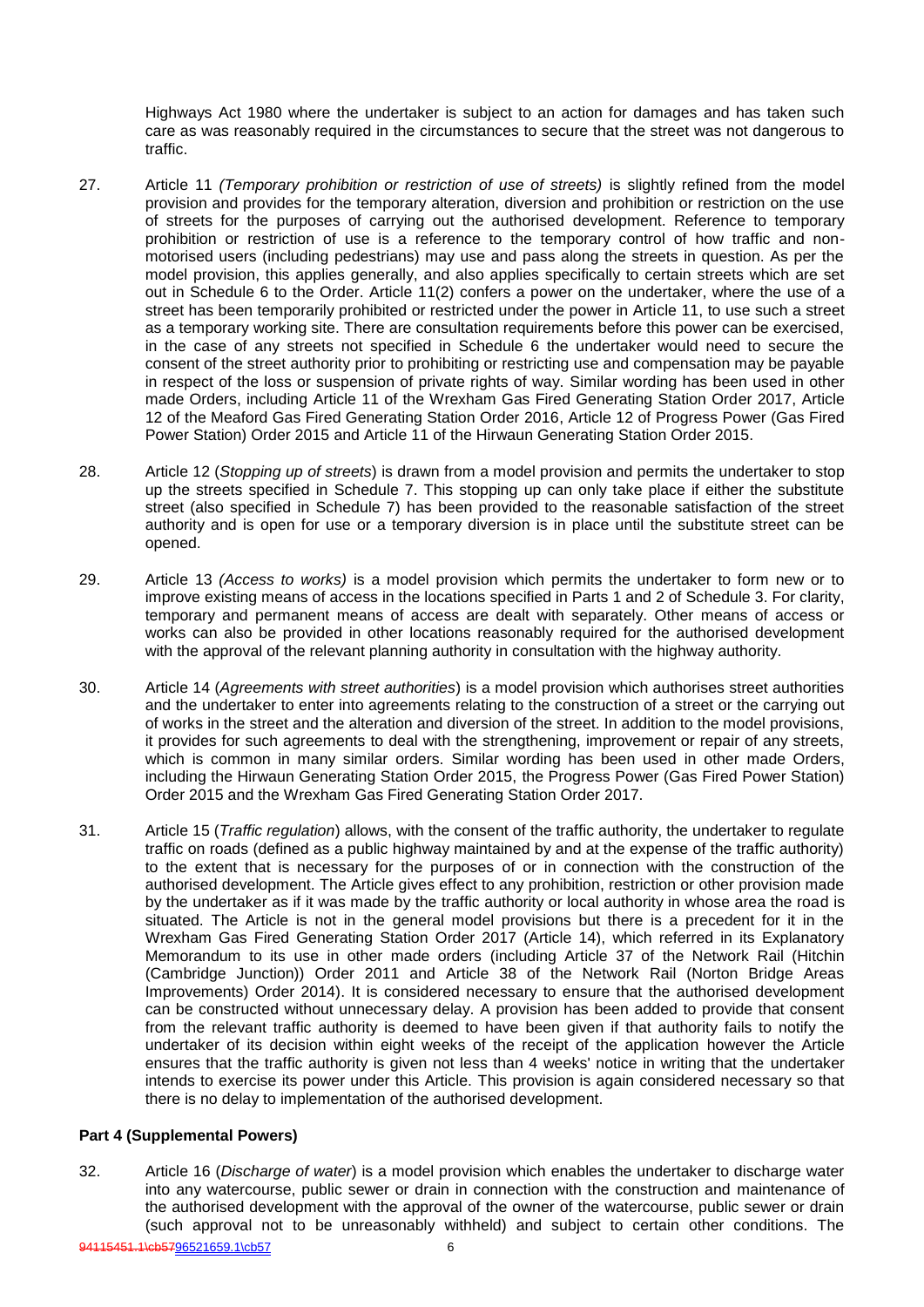Highways Act 1980 where the undertaker is subject to an action for damages and has taken such care as was reasonably required in the circumstances to secure that the street was not dangerous to traffic.

- 27. Article 11 *(Temporary prohibition or restriction of use of streets)* is slightly refined from the model provision and provides for the temporary alteration, diversion and prohibition or restriction on the use of streets for the purposes of carrying out the authorised development. Reference to temporary prohibition or restriction of use is a reference to the temporary control of how traffic and nonmotorised users (including pedestrians) may use and pass along the streets in question. As per the model provision, this applies generally, and also applies specifically to certain streets which are set out in Schedule 6 to the Order. Article 11(2) confers a power on the undertaker, where the use of a street has been temporarily prohibited or restricted under the power in Article 11, to use such a street as a temporary working site. There are consultation requirements before this power can be exercised, in the case of any streets not specified in Schedule 6 the undertaker would need to secure the consent of the street authority prior to prohibiting or restricting use and compensation may be payable in respect of the loss or suspension of private rights of way. Similar wording has been used in other made Orders, including Article 11 of the Wrexham Gas Fired Generating Station Order 2017, Article 12 of the Meaford Gas Fired Generating Station Order 2016, Article 12 of Progress Power (Gas Fired Power Station) Order 2015 and Article 11 of the Hirwaun Generating Station Order 2015.
- 28. Article 12 (*Stopping up of streets*) is drawn from a model provision and permits the undertaker to stop up the streets specified in Schedule 7. This stopping up can only take place if either the substitute street (also specified in Schedule 7) has been provided to the reasonable satisfaction of the street authority and is open for use or a temporary diversion is in place until the substitute street can be opened.
- 29. Article 13 *(Access to works)* is a model provision which permits the undertaker to form new or to improve existing means of access in the locations specified in Parts 1 and 2 of Schedule 3. For clarity, temporary and permanent means of access are dealt with separately. Other means of access or works can also be provided in other locations reasonably required for the authorised development with the approval of the relevant planning authority in consultation with the highway authority.
- 30. Article 14 (*Agreements with street authorities*) is a model provision which authorises street authorities and the undertaker to enter into agreements relating to the construction of a street or the carrying out of works in the street and the alteration and diversion of the street. In addition to the model provisions, it provides for such agreements to deal with the strengthening, improvement or repair of any streets, which is common in many similar orders. Similar wording has been used in other made Orders, including the Hirwaun Generating Station Order 2015, the Progress Power (Gas Fired Power Station) Order 2015 and the Wrexham Gas Fired Generating Station Order 2017.
- 31. Article 15 (*Traffic regulation*) allows, with the consent of the traffic authority, the undertaker to regulate traffic on roads (defined as a public highway maintained by and at the expense of the traffic authority) to the extent that is necessary for the purposes of or in connection with the construction of the authorised development. The Article gives effect to any prohibition, restriction or other provision made by the undertaker as if it was made by the traffic authority or local authority in whose area the road is situated. The Article is not in the general model provisions but there is a precedent for it in the Wrexham Gas Fired Generating Station Order 2017 (Article 14), which referred in its Explanatory Memorandum to its use in other made orders (including Article 37 of the Network Rail (Hitchin (Cambridge Junction)) Order 2011 and Article 38 of the Network Rail (Norton Bridge Areas Improvements) Order 2014). It is considered necessary to ensure that the authorised development can be constructed without unnecessary delay. A provision has been added to provide that consent from the relevant traffic authority is deemed to have been given if that authority fails to notify the undertaker of its decision within eight weeks of the receipt of the application however the Article ensures that the traffic authority is given not less than 4 weeks' notice in writing that the undertaker intends to exercise its power under this Article. This provision is again considered necessary so that there is no delay to implementation of the authorised development.

# **Part 4 (Supplemental Powers)**

32. Article 16 (*Discharge of water*) is a model provision which enables the undertaker to discharge water into any watercourse, public sewer or drain in connection with the construction and maintenance of the authorised development with the approval of the owner of the watercourse, public sewer or drain (such approval not to be unreasonably withheld) and subject to certain other conditions. The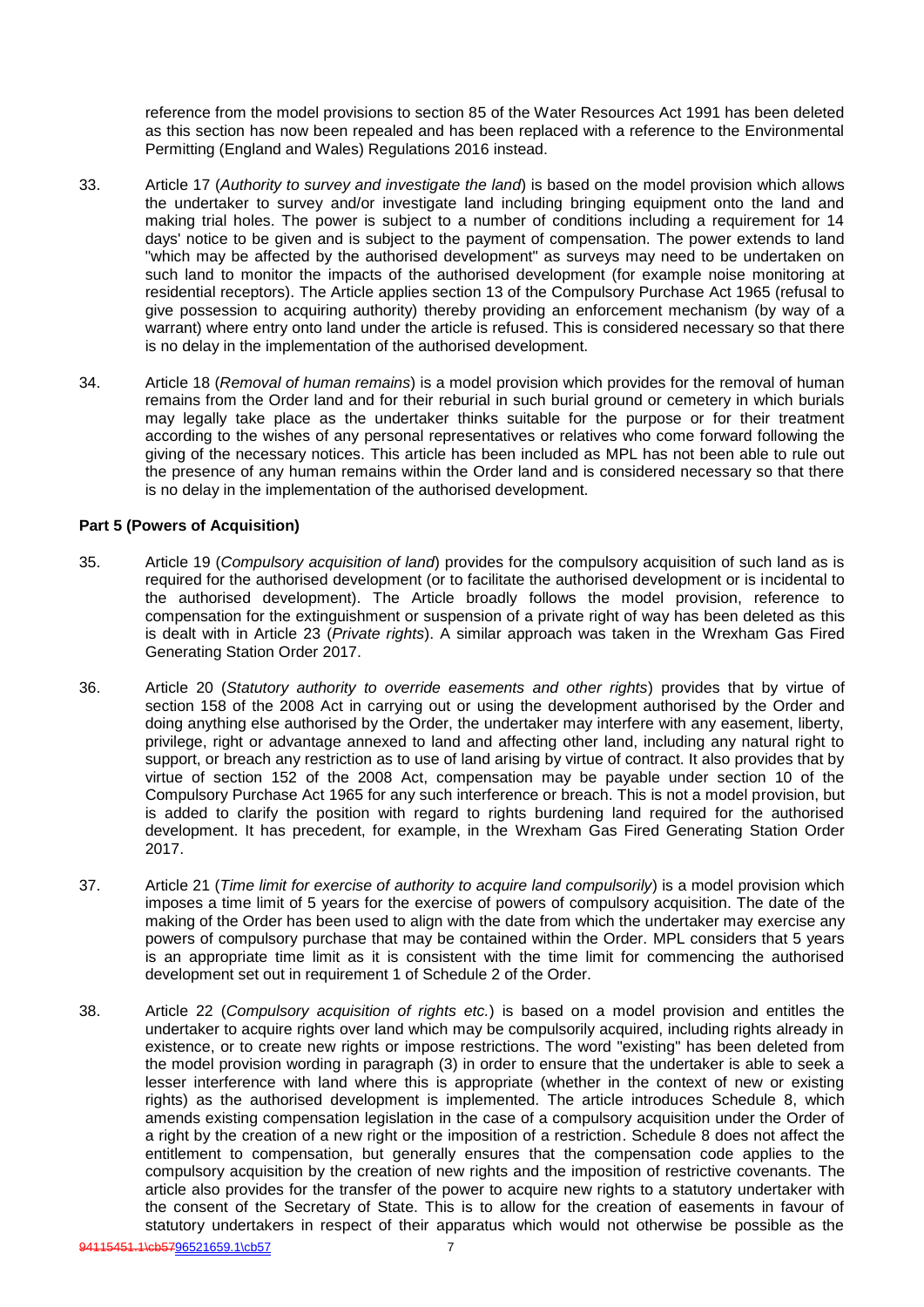reference from the model provisions to section 85 of the Water Resources Act 1991 has been deleted as this section has now been repealed and has been replaced with a reference to the Environmental Permitting (England and Wales) Regulations 2016 instead.

- 33. Article 17 (*Authority to survey and investigate the land*) is based on the model provision which allows the undertaker to survey and/or investigate land including bringing equipment onto the land and making trial holes. The power is subject to a number of conditions including a requirement for 14 days' notice to be given and is subject to the payment of compensation. The power extends to land "which may be affected by the authorised development" as surveys may need to be undertaken on such land to monitor the impacts of the authorised development (for example noise monitoring at residential receptors). The Article applies section 13 of the Compulsory Purchase Act 1965 (refusal to give possession to acquiring authority) thereby providing an enforcement mechanism (by way of a warrant) where entry onto land under the article is refused. This is considered necessary so that there is no delay in the implementation of the authorised development.
- 34. Article 18 (*Removal of human remains*) is a model provision which provides for the removal of human remains from the Order land and for their reburial in such burial ground or cemetery in which burials may legally take place as the undertaker thinks suitable for the purpose or for their treatment according to the wishes of any personal representatives or relatives who come forward following the giving of the necessary notices. This article has been included as MPL has not been able to rule out the presence of any human remains within the Order land and is considered necessary so that there is no delay in the implementation of the authorised development.

### **Part 5 (Powers of Acquisition)**

- 35. Article 19 (*Compulsory acquisition of land*) provides for the compulsory acquisition of such land as is required for the authorised development (or to facilitate the authorised development or is incidental to the authorised development). The Article broadly follows the model provision, reference to compensation for the extinguishment or suspension of a private right of way has been deleted as this is dealt with in Article 23 (*Private rights*). A similar approach was taken in the Wrexham Gas Fired Generating Station Order 2017.
- 36. Article 20 (*Statutory authority to override easements and other rights*) provides that by virtue of section 158 of the 2008 Act in carrying out or using the development authorised by the Order and doing anything else authorised by the Order, the undertaker may interfere with any easement, liberty, privilege, right or advantage annexed to land and affecting other land, including any natural right to support, or breach any restriction as to use of land arising by virtue of contract. It also provides that by virtue of section 152 of the 2008 Act, compensation may be payable under section 10 of the Compulsory Purchase Act 1965 for any such interference or breach. This is not a model provision, but is added to clarify the position with regard to rights burdening land required for the authorised development. It has precedent, for example, in the Wrexham Gas Fired Generating Station Order 2017.
- 37. Article 21 (*Time limit for exercise of authority to acquire land compulsorily*) is a model provision which imposes a time limit of 5 years for the exercise of powers of compulsory acquisition. The date of the making of the Order has been used to align with the date from which the undertaker may exercise any powers of compulsory purchase that may be contained within the Order. MPL considers that 5 years is an appropriate time limit as it is consistent with the time limit for commencing the authorised development set out in requirement 1 of Schedule 2 of the Order.
- 38. Article 22 (*Compulsory acquisition of rights etc.*) is based on a model provision and entitles the undertaker to acquire rights over land which may be compulsorily acquired, including rights already in existence, or to create new rights or impose restrictions. The word "existing" has been deleted from the model provision wording in paragraph (3) in order to ensure that the undertaker is able to seek a lesser interference with land where this is appropriate (whether in the context of new or existing rights) as the authorised development is implemented. The article introduces Schedule 8, which amends existing compensation legislation in the case of a compulsory acquisition under the Order of a right by the creation of a new right or the imposition of a restriction. Schedule 8 does not affect the entitlement to compensation, but generally ensures that the compensation code applies to the compulsory acquisition by the creation of new rights and the imposition of restrictive covenants. The article also provides for the transfer of the power to acquire new rights to a statutory undertaker with the consent of the Secretary of State. This is to allow for the creation of easements in favour of statutory undertakers in respect of their apparatus which would not otherwise be possible as the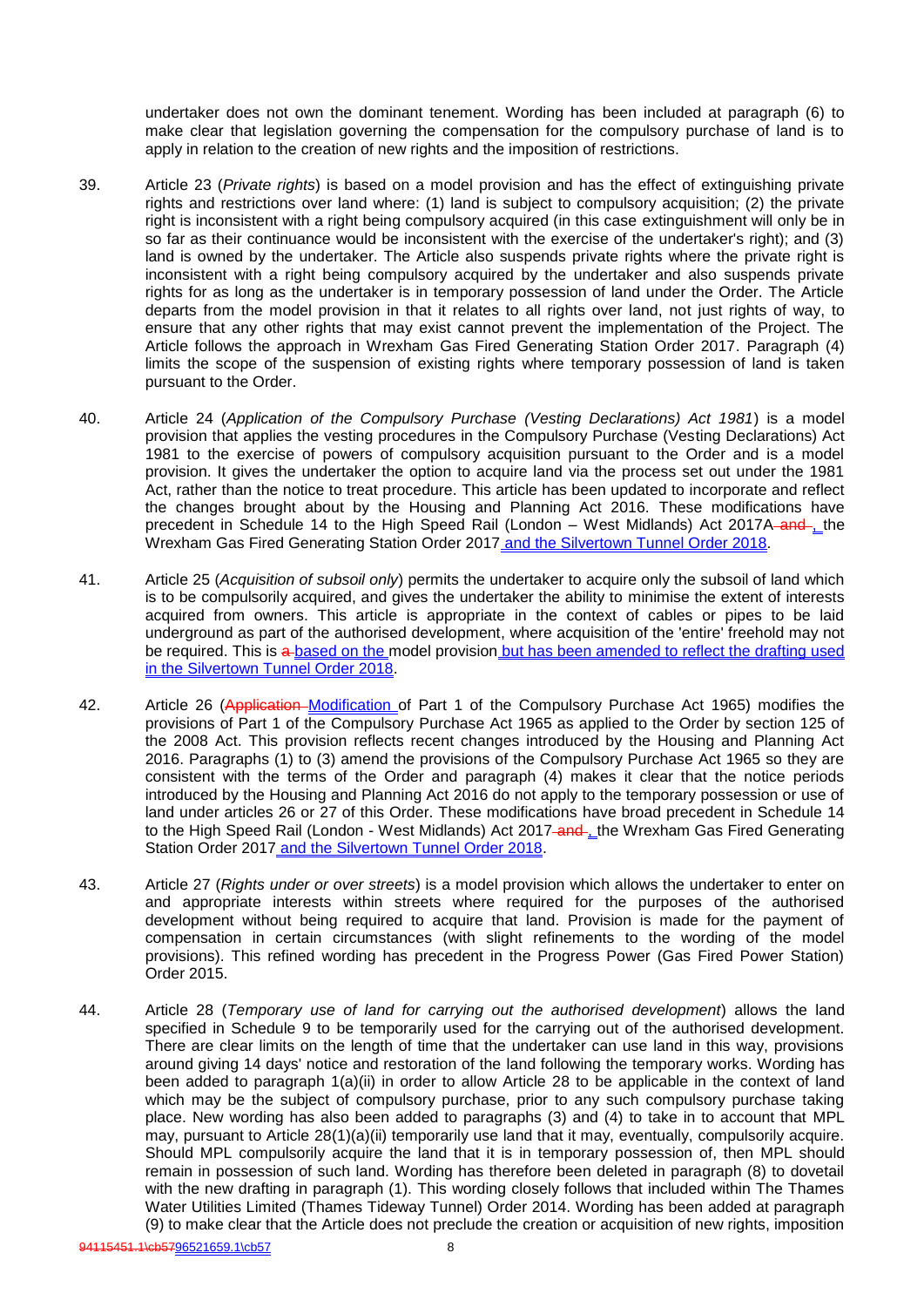undertaker does not own the dominant tenement. Wording has been included at paragraph (6) to make clear that legislation governing the compensation for the compulsory purchase of land is to apply in relation to the creation of new rights and the imposition of restrictions.

- 39. Article 23 (*Private rights*) is based on a model provision and has the effect of extinguishing private rights and restrictions over land where: (1) land is subject to compulsory acquisition; (2) the private right is inconsistent with a right being compulsory acquired (in this case extinguishment will only be in so far as their continuance would be inconsistent with the exercise of the undertaker's right); and (3) land is owned by the undertaker. The Article also suspends private rights where the private right is inconsistent with a right being compulsory acquired by the undertaker and also suspends private rights for as long as the undertaker is in temporary possession of land under the Order. The Article departs from the model provision in that it relates to all rights over land, not just rights of way, to ensure that any other rights that may exist cannot prevent the implementation of the Project. The Article follows the approach in Wrexham Gas Fired Generating Station Order 2017. Paragraph (4) limits the scope of the suspension of existing rights where temporary possession of land is taken pursuant to the Order.
- 40. Article 24 (*Application of the Compulsory Purchase (Vesting Declarations) Act 1981*) is a model provision that applies the vesting procedures in the Compulsory Purchase (Vesting Declarations) Act 1981 to the exercise of powers of compulsory acquisition pursuant to the Order and is a model provision. It gives the undertaker the option to acquire land via the process set out under the 1981 Act, rather than the notice to treat procedure. This article has been updated to incorporate and reflect the changes brought about by the Housing and Planning Act 2016. These modifications have precedent in Schedule 14 to the High Speed Rail (London – West Midlands) Act 2017A-and-the Wrexham Gas Fired Generating Station Order 2017 and the Silvertown Tunnel Order 2018.
- 41. Article 25 (*Acquisition of subsoil only*) permits the undertaker to acquire only the subsoil of land which is to be compulsorily acquired, and gives the undertaker the ability to minimise the extent of interests acquired from owners. This article is appropriate in the context of cables or pipes to be laid underground as part of the authorised development, where acquisition of the 'entire' freehold may not be required. This is a based on the model provision but has been amended to reflect the drafting used in the Silvertown Tunnel Order 2018.
- 42. Article 26 (Application–Modification of Part 1 of the Compulsory Purchase Act 1965) modifies the provisions of Part 1 of the Compulsory Purchase Act 1965 as applied to the Order by section 125 of the 2008 Act. This provision reflects recent changes introduced by the Housing and Planning Act 2016. Paragraphs (1) to (3) amend the provisions of the Compulsory Purchase Act 1965 so they are consistent with the terms of the Order and paragraph (4) makes it clear that the notice periods introduced by the Housing and Planning Act 2016 do not apply to the temporary possession or use of land under articles 26 or 27 of this Order. These modifications have broad precedent in Schedule 14 to the High Speed Rail (London - West Midlands) Act 2017-and the Wrexham Gas Fired Generating Station Order 2017 and the Silvertown Tunnel Order 2018.
- 43. Article 27 (*Rights under or over streets*) is a model provision which allows the undertaker to enter on and appropriate interests within streets where required for the purposes of the authorised development without being required to acquire that land. Provision is made for the payment of compensation in certain circumstances (with slight refinements to the wording of the model provisions). This refined wording has precedent in the Progress Power (Gas Fired Power Station) Order 2015.
- 44. Article 28 (*Temporary use of land for carrying out the authorised development*) allows the land specified in Schedule 9 to be temporarily used for the carrying out of the authorised development. There are clear limits on the length of time that the undertaker can use land in this way, provisions around giving 14 days' notice and restoration of the land following the temporary works. Wording has been added to paragraph 1(a)(ii) in order to allow Article 28 to be applicable in the context of land which may be the subject of compulsory purchase, prior to any such compulsory purchase taking place. New wording has also been added to paragraphs (3) and (4) to take in to account that MPL may, pursuant to Article 28(1)(a)(ii) temporarily use land that it may, eventually, compulsorily acquire. Should MPL compulsorily acquire the land that it is in temporary possession of, then MPL should remain in possession of such land. Wording has therefore been deleted in paragraph (8) to dovetail with the new drafting in paragraph (1). This wording closely follows that included within The Thames Water Utilities Limited (Thames Tideway Tunnel) Order 2014. Wording has been added at paragraph (9) to make clear that the Article does not preclude the creation or acquisition of new rights, imposition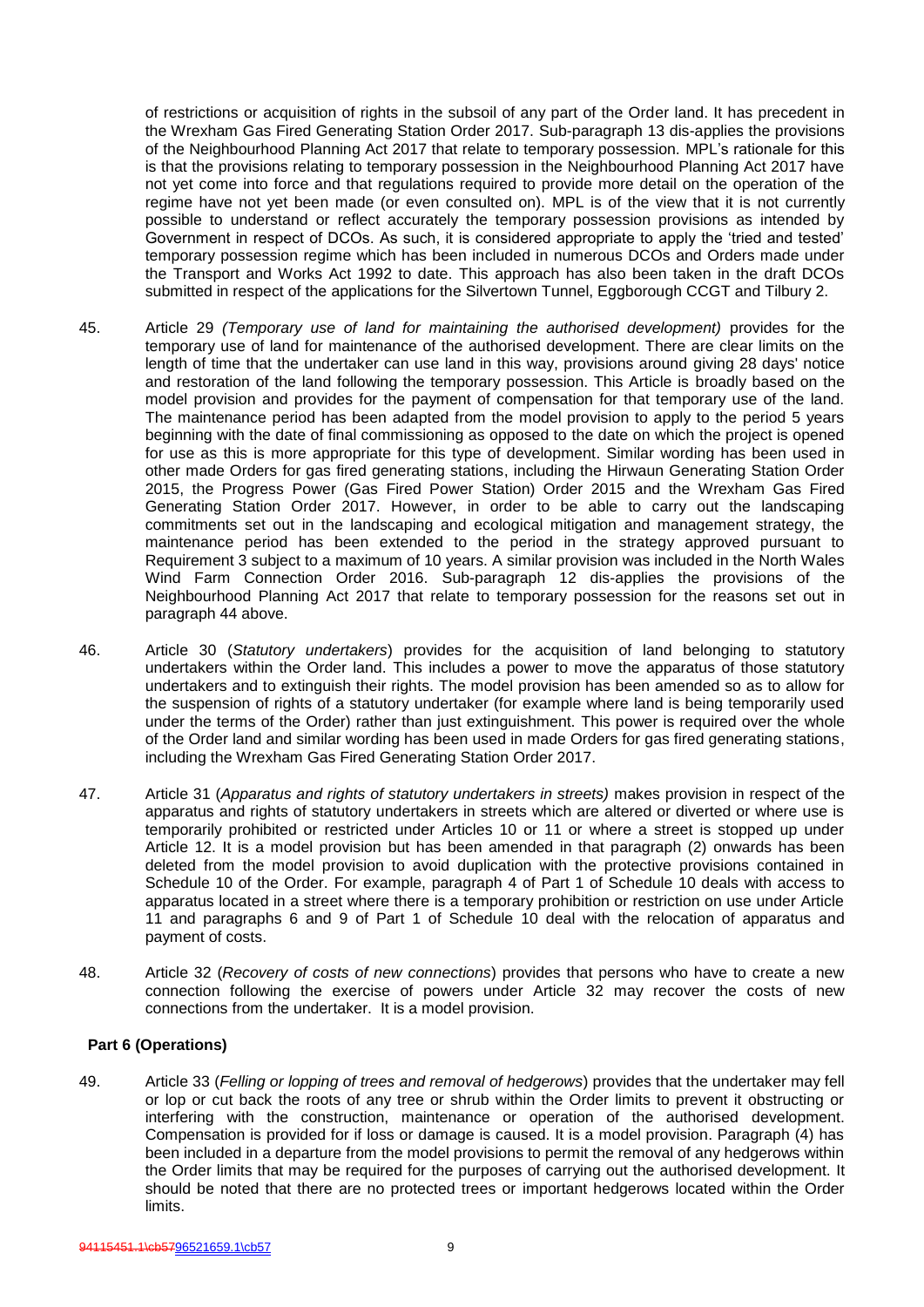of restrictions or acquisition of rights in the subsoil of any part of the Order land. It has precedent in the Wrexham Gas Fired Generating Station Order 2017. Sub-paragraph 13 dis-applies the provisions of the Neighbourhood Planning Act 2017 that relate to temporary possession. MPL's rationale for this is that the provisions relating to temporary possession in the Neighbourhood Planning Act 2017 have not yet come into force and that regulations required to provide more detail on the operation of the regime have not yet been made (or even consulted on). MPL is of the view that it is not currently possible to understand or reflect accurately the temporary possession provisions as intended by Government in respect of DCOs. As such, it is considered appropriate to apply the 'tried and tested' temporary possession regime which has been included in numerous DCOs and Orders made under the Transport and Works Act 1992 to date. This approach has also been taken in the draft DCOs submitted in respect of the applications for the Silvertown Tunnel, Eggborough CCGT and Tilbury 2.

- 45. Article 29 *(Temporary use of land for maintaining the authorised development)* provides for the temporary use of land for maintenance of the authorised development. There are clear limits on the length of time that the undertaker can use land in this way, provisions around giving 28 days' notice and restoration of the land following the temporary possession. This Article is broadly based on the model provision and provides for the payment of compensation for that temporary use of the land. The maintenance period has been adapted from the model provision to apply to the period 5 years beginning with the date of final commissioning as opposed to the date on which the project is opened for use as this is more appropriate for this type of development. Similar wording has been used in other made Orders for gas fired generating stations, including the Hirwaun Generating Station Order 2015, the Progress Power (Gas Fired Power Station) Order 2015 and the Wrexham Gas Fired Generating Station Order 2017. However, in order to be able to carry out the landscaping commitments set out in the landscaping and ecological mitigation and management strategy, the maintenance period has been extended to the period in the strategy approved pursuant to Requirement 3 subject to a maximum of 10 years. A similar provision was included in the North Wales Wind Farm Connection Order 2016. Sub-paragraph 12 dis-applies the provisions of the Neighbourhood Planning Act 2017 that relate to temporary possession for the reasons set out in paragraph 44 above.
- 46. Article 30 (*Statutory undertakers*) provides for the acquisition of land belonging to statutory undertakers within the Order land. This includes a power to move the apparatus of those statutory undertakers and to extinguish their rights. The model provision has been amended so as to allow for the suspension of rights of a statutory undertaker (for example where land is being temporarily used under the terms of the Order) rather than just extinguishment. This power is required over the whole of the Order land and similar wording has been used in made Orders for gas fired generating stations, including the Wrexham Gas Fired Generating Station Order 2017.
- 47. Article 31 (*Apparatus and rights of statutory undertakers in streets)* makes provision in respect of the apparatus and rights of statutory undertakers in streets which are altered or diverted or where use is temporarily prohibited or restricted under Articles 10 or 11 or where a street is stopped up under Article 12. It is a model provision but has been amended in that paragraph (2) onwards has been deleted from the model provision to avoid duplication with the protective provisions contained in Schedule 10 of the Order. For example, paragraph 4 of Part 1 of Schedule 10 deals with access to apparatus located in a street where there is a temporary prohibition or restriction on use under Article 11 and paragraphs 6 and 9 of Part 1 of Schedule 10 deal with the relocation of apparatus and payment of costs.
- 48. Article 32 (*Recovery of costs of new connections*) provides that persons who have to create a new connection following the exercise of powers under Article 32 may recover the costs of new connections from the undertaker. It is a model provision.

#### **Part 6 (Operations)**

49. Article 33 (*Felling or lopping of trees and removal of hedgerows*) provides that the undertaker may fell or lop or cut back the roots of any tree or shrub within the Order limits to prevent it obstructing or interfering with the construction, maintenance or operation of the authorised development. Compensation is provided for if loss or damage is caused. It is a model provision. Paragraph (4) has been included in a departure from the model provisions to permit the removal of any hedgerows within the Order limits that may be required for the purposes of carrying out the authorised development. It should be noted that there are no protected trees or important hedgerows located within the Order limits.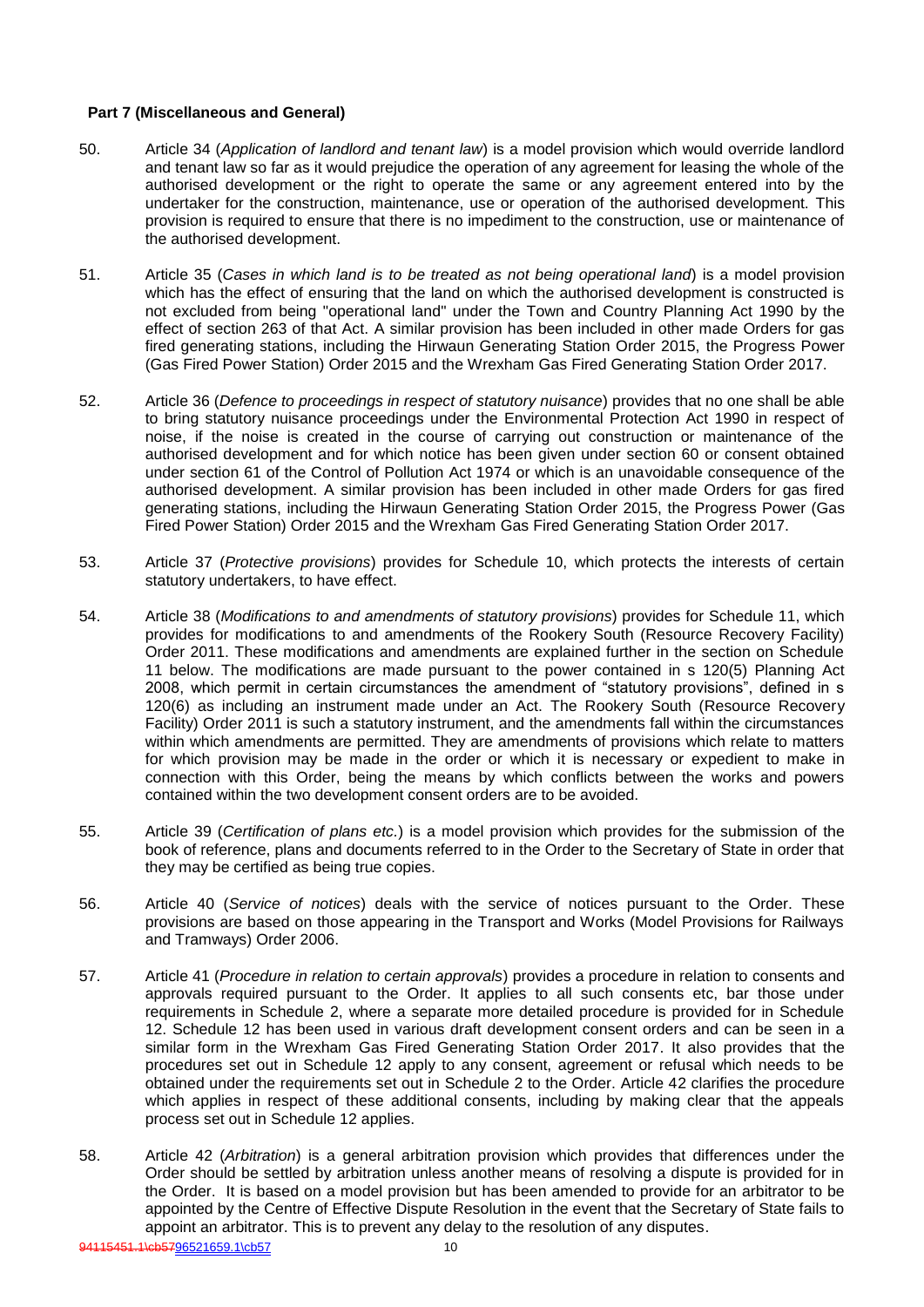## **Part 7 (Miscellaneous and General)**

- 50. Article 34 (*Application of landlord and tenant law*) is a model provision which would override landlord and tenant law so far as it would prejudice the operation of any agreement for leasing the whole of the authorised development or the right to operate the same or any agreement entered into by the undertaker for the construction, maintenance, use or operation of the authorised development. This provision is required to ensure that there is no impediment to the construction, use or maintenance of the authorised development.
- 51. Article 35 (*Cases in which land is to be treated as not being operational land*) is a model provision which has the effect of ensuring that the land on which the authorised development is constructed is not excluded from being "operational land" under the Town and Country Planning Act 1990 by the effect of section 263 of that Act. A similar provision has been included in other made Orders for gas fired generating stations, including the Hirwaun Generating Station Order 2015, the Progress Power (Gas Fired Power Station) Order 2015 and the Wrexham Gas Fired Generating Station Order 2017.
- 52. Article 36 (*Defence to proceedings in respect of statutory nuisance*) provides that no one shall be able to bring statutory nuisance proceedings under the Environmental Protection Act 1990 in respect of noise, if the noise is created in the course of carrying out construction or maintenance of the authorised development and for which notice has been given under section 60 or consent obtained under section 61 of the Control of Pollution Act 1974 or which is an unavoidable consequence of the authorised development. A similar provision has been included in other made Orders for gas fired generating stations, including the Hirwaun Generating Station Order 2015, the Progress Power (Gas Fired Power Station) Order 2015 and the Wrexham Gas Fired Generating Station Order 2017.
- 53. Article 37 (*Protective provisions*) provides for Schedule 10, which protects the interests of certain statutory undertakers, to have effect.
- 54. Article 38 (*Modifications to and amendments of statutory provisions*) provides for Schedule 11, which provides for modifications to and amendments of the Rookery South (Resource Recovery Facility) Order 2011. These modifications and amendments are explained further in the section on Schedule 11 below. The modifications are made pursuant to the power contained in s 120(5) Planning Act 2008, which permit in certain circumstances the amendment of "statutory provisions", defined in s 120(6) as including an instrument made under an Act. The Rookery South (Resource Recovery Facility) Order 2011 is such a statutory instrument, and the amendments fall within the circumstances within which amendments are permitted. They are amendments of provisions which relate to matters for which provision may be made in the order or which it is necessary or expedient to make in connection with this Order, being the means by which conflicts between the works and powers contained within the two development consent orders are to be avoided.
- 55. Article 39 (*Certification of plans etc.*) is a model provision which provides for the submission of the book of reference, plans and documents referred to in the Order to the Secretary of State in order that they may be certified as being true copies.
- 56. Article 40 (*Service of notices*) deals with the service of notices pursuant to the Order. These provisions are based on those appearing in the Transport and Works (Model Provisions for Railways and Tramways) Order 2006.
- 57. Article 41 (*Procedure in relation to certain approvals*) provides a procedure in relation to consents and approvals required pursuant to the Order. It applies to all such consents etc, bar those under requirements in Schedule 2, where a separate more detailed procedure is provided for in Schedule 12. Schedule 12 has been used in various draft development consent orders and can be seen in a similar form in the Wrexham Gas Fired Generating Station Order 2017. It also provides that the procedures set out in Schedule 12 apply to any consent, agreement or refusal which needs to be obtained under the requirements set out in Schedule 2 to the Order. Article 42 clarifies the procedure which applies in respect of these additional consents, including by making clear that the appeals process set out in Schedule 12 applies.
- 58. Article 42 (*Arbitration*) is a general arbitration provision which provides that differences under the Order should be settled by arbitration unless another means of resolving a dispute is provided for in the Order. It is based on a model provision but has been amended to provide for an arbitrator to be appointed by the Centre of Effective Dispute Resolution in the event that the Secretary of State fails to appoint an arbitrator. This is to prevent any delay to the resolution of any disputes.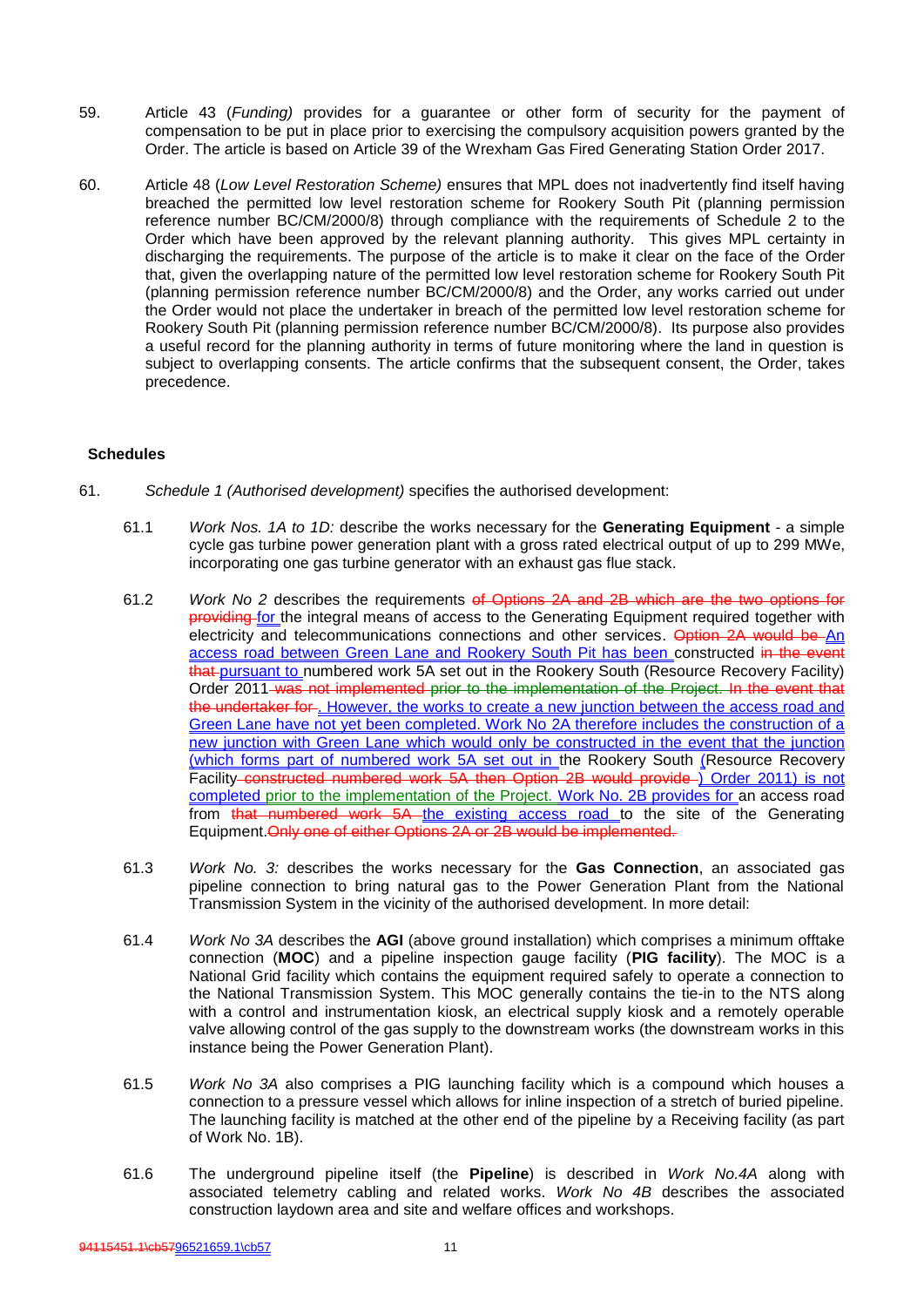- 59. Article 43 (*Funding)* provides for a guarantee or other form of security for the payment of compensation to be put in place prior to exercising the compulsory acquisition powers granted by the Order. The article is based on Article 39 of the Wrexham Gas Fired Generating Station Order 2017.
- 60. Article 48 (*Low Level Restoration Scheme)* ensures that MPL does not inadvertently find itself having breached the permitted low level restoration scheme for Rookery South Pit (planning permission reference number BC/CM/2000/8) through compliance with the requirements of Schedule 2 to the Order which have been approved by the relevant planning authority. This gives MPL certainty in discharging the requirements. The purpose of the article is to make it clear on the face of the Order that, given the overlapping nature of the permitted low level restoration scheme for Rookery South Pit (planning permission reference number BC/CM/2000/8) and the Order, any works carried out under the Order would not place the undertaker in breach of the permitted low level restoration scheme for Rookery South Pit (planning permission reference number BC/CM/2000/8). Its purpose also provides a useful record for the planning authority in terms of future monitoring where the land in question is subject to overlapping consents. The article confirms that the subsequent consent, the Order, takes precedence.

### **Schedules**

- 61. *Schedule 1 (Authorised development)* specifies the authorised development:
	- 61.1 *Work Nos. 1A to 1D:* describe the works necessary for the **Generating Equipment**  a simple cycle gas turbine power generation plant with a gross rated electrical output of up to 299 MWe, incorporating one gas turbine generator with an exhaust gas flue stack.
	- 61.2 *Work No 2* describes the requirements of Options 2A and 2B which are the two options for providing for the integral means of access to the Generating Equipment required together with electricity and telecommunications connections and other services. Option 2A would be An access road between Green Lane and Rookery South Pit has been constructed in the event that pursuant to numbered work 5A set out in the Rookery South (Resource Recovery Facility) Order 2011 was not implemented prior to the implementation of the Project. In the event that the undertaker for . However, the works to create a new junction between the access road and Green Lane have not yet been completed. Work No 2A therefore includes the construction of a new junction with Green Lane which would only be constructed in the event that the junction (which forms part of numbered work 5A set out in the Rookery South (Resource Recovery Facility constructed numbered work 5A then Option 2B would provide ) Order 2011) is not completed prior to the implementation of the Project. Work No. 2B provides for an access road from that numbered work 5A the existing access road to the site of the Generating Equipment. Only one of either Options 2A or 2B would be implemented.
	- 61.3 *Work No. 3:* describes the works necessary for the **Gas Connection**, an associated gas pipeline connection to bring natural gas to the Power Generation Plant from the National Transmission System in the vicinity of the authorised development. In more detail:
	- 61.4 *Work No 3A* describes the **AGI** (above ground installation) which comprises a minimum offtake connection (**MOC**) and a pipeline inspection gauge facility (**PIG facility**). The MOC is a National Grid facility which contains the equipment required safely to operate a connection to the National Transmission System. This MOC generally contains the tie-in to the NTS along with a control and instrumentation kiosk, an electrical supply kiosk and a remotely operable valve allowing control of the gas supply to the downstream works (the downstream works in this instance being the Power Generation Plant).
	- 61.5 *Work No 3A* also comprises a PIG launching facility which is a compound which houses a connection to a pressure vessel which allows for inline inspection of a stretch of buried pipeline. The launching facility is matched at the other end of the pipeline by a Receiving facility (as part of Work No. 1B).
	- 61.6 The underground pipeline itself (the **Pipeline**) is described in *Work No.4A* along with associated telemetry cabling and related works. *Work No 4B* describes the associated construction laydown area and site and welfare offices and workshops.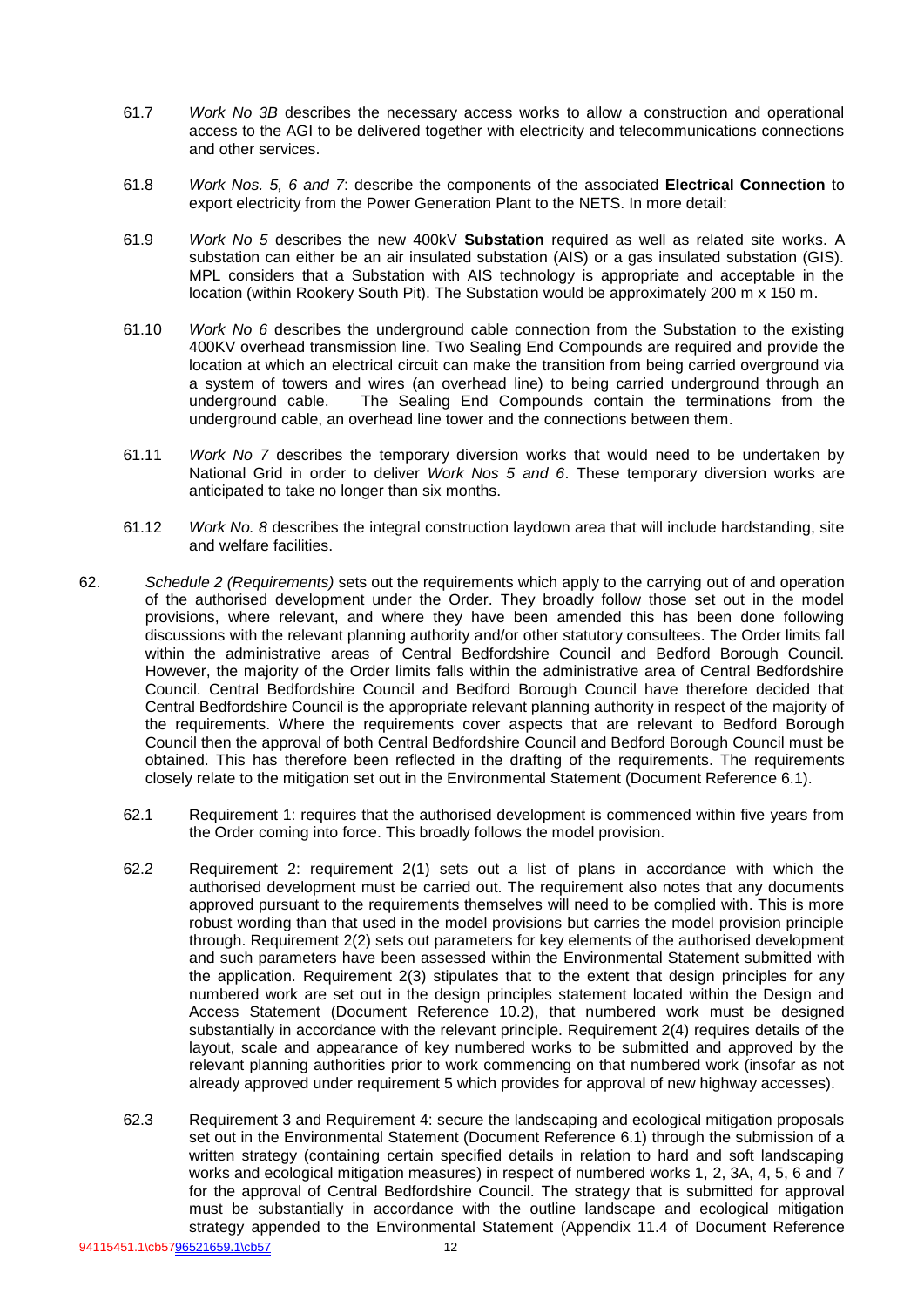- 61.7 *Work No 3B* describes the necessary access works to allow a construction and operational access to the AGI to be delivered together with electricity and telecommunications connections and other services.
- 61.8 *Work Nos. 5, 6 and 7*: describe the components of the associated **Electrical Connection** to export electricity from the Power Generation Plant to the NETS. In more detail:
- 61.9 *Work No 5* describes the new 400kV **Substation** required as well as related site works. A substation can either be an air insulated substation (AIS) or a gas insulated substation (GIS). MPL considers that a Substation with AIS technology is appropriate and acceptable in the location (within Rookery South Pit). The Substation would be approximately 200 m x 150 m.
- 61.10 *Work No 6* describes the underground cable connection from the Substation to the existing 400KV overhead transmission line. Two Sealing End Compounds are required and provide the location at which an electrical circuit can make the transition from being carried overground via a system of towers and wires (an overhead line) to being carried underground through an underground cable. The Sealing End Compounds contain the terminations from the The Sealing End Compounds contain the terminations from the underground cable, an overhead line tower and the connections between them.
- 61.11 *Work No 7* describes the temporary diversion works that would need to be undertaken by National Grid in order to deliver *Work Nos 5 and 6*. These temporary diversion works are anticipated to take no longer than six months.
- 61.12 *Work No. 8* describes the integral construction laydown area that will include hardstanding, site and welfare facilities.
- 62. *Schedule 2 (Requirements)* sets out the requirements which apply to the carrying out of and operation of the authorised development under the Order. They broadly follow those set out in the model provisions, where relevant, and where they have been amended this has been done following discussions with the relevant planning authority and/or other statutory consultees. The Order limits fall within the administrative areas of Central Bedfordshire Council and Bedford Borough Council. However, the majority of the Order limits falls within the administrative area of Central Bedfordshire Council. Central Bedfordshire Council and Bedford Borough Council have therefore decided that Central Bedfordshire Council is the appropriate relevant planning authority in respect of the majority of the requirements. Where the requirements cover aspects that are relevant to Bedford Borough Council then the approval of both Central Bedfordshire Council and Bedford Borough Council must be obtained. This has therefore been reflected in the drafting of the requirements. The requirements closely relate to the mitigation set out in the Environmental Statement (Document Reference 6.1).
	- 62.1 Requirement 1: requires that the authorised development is commenced within five years from the Order coming into force. This broadly follows the model provision.
	- 62.2 Requirement 2: requirement 2(1) sets out a list of plans in accordance with which the authorised development must be carried out. The requirement also notes that any documents approved pursuant to the requirements themselves will need to be complied with. This is more robust wording than that used in the model provisions but carries the model provision principle through. Requirement 2(2) sets out parameters for key elements of the authorised development and such parameters have been assessed within the Environmental Statement submitted with the application. Requirement 2(3) stipulates that to the extent that design principles for any numbered work are set out in the design principles statement located within the Design and Access Statement (Document Reference 10.2), that numbered work must be designed substantially in accordance with the relevant principle. Requirement 2(4) requires details of the layout, scale and appearance of key numbered works to be submitted and approved by the relevant planning authorities prior to work commencing on that numbered work (insofar as not already approved under requirement 5 which provides for approval of new highway accesses).
	- 62.3 Requirement 3 and Requirement 4: secure the landscaping and ecological mitigation proposals set out in the Environmental Statement (Document Reference 6.1) through the submission of a written strategy (containing certain specified details in relation to hard and soft landscaping works and ecological mitigation measures) in respect of numbered works 1, 2, 3A, 4, 5, 6 and 7 for the approval of Central Bedfordshire Council. The strategy that is submitted for approval must be substantially in accordance with the outline landscape and ecological mitigation strategy appended to the Environmental Statement (Appendix 11.4 of Document Reference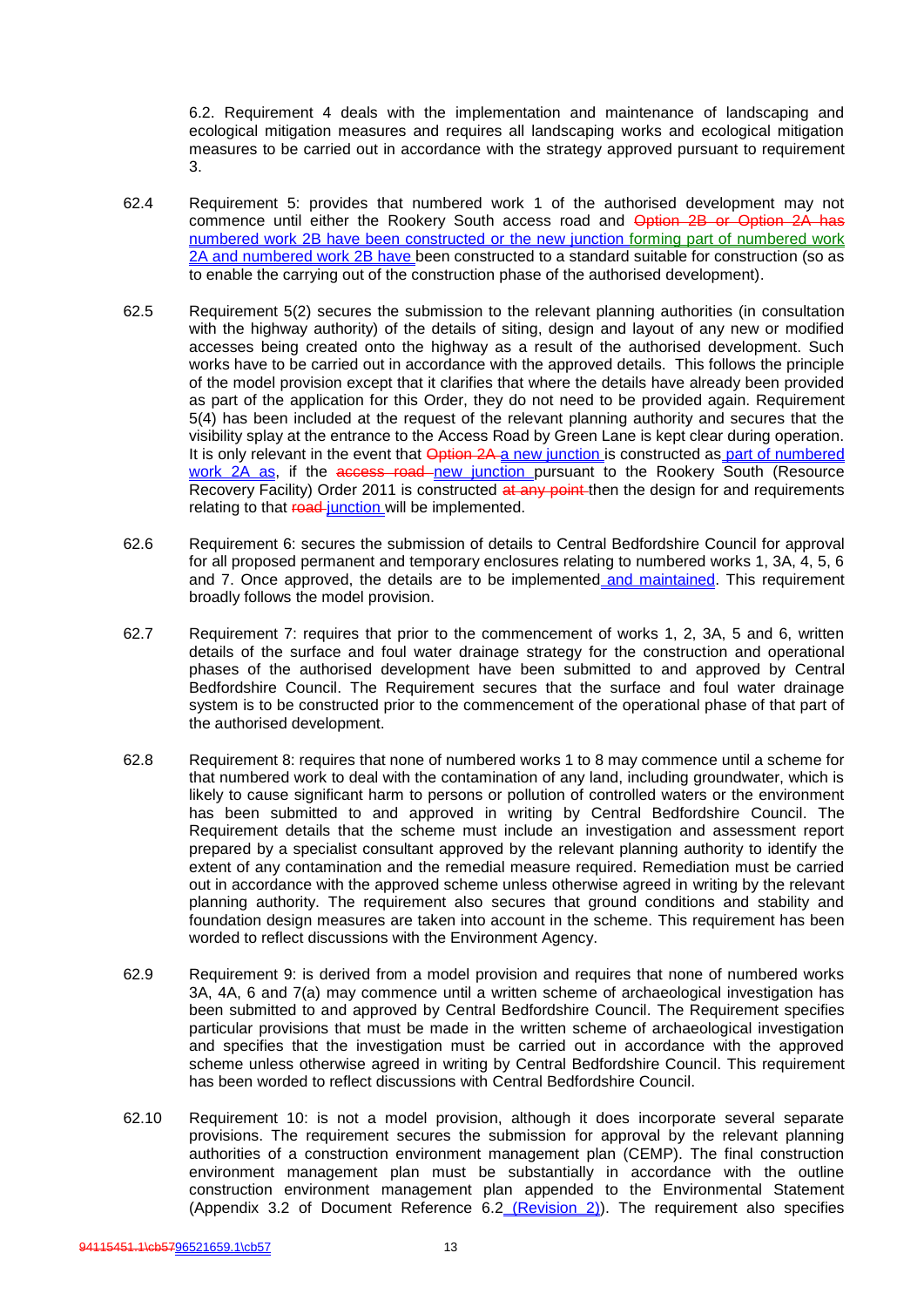6.2. Requirement 4 deals with the implementation and maintenance of landscaping and ecological mitigation measures and requires all landscaping works and ecological mitigation measures to be carried out in accordance with the strategy approved pursuant to requirement 3.

- 62.4 Requirement 5: provides that numbered work 1 of the authorised development may not commence until either the Rookery South access road and Option 2B or Option 2A has numbered work 2B have been constructed or the new junction forming part of numbered work 2A and numbered work 2B have been constructed to a standard suitable for construction (so as to enable the carrying out of the construction phase of the authorised development).
- 62.5 Requirement 5(2) secures the submission to the relevant planning authorities (in consultation with the highway authority) of the details of siting, design and layout of any new or modified accesses being created onto the highway as a result of the authorised development. Such works have to be carried out in accordance with the approved details. This follows the principle of the model provision except that it clarifies that where the details have already been provided as part of the application for this Order, they do not need to be provided again. Requirement 5(4) has been included at the request of the relevant planning authority and secures that the visibility splay at the entrance to the Access Road by Green Lane is kept clear during operation. It is only relevant in the event that Option 2A a new junction is constructed as part of numbered work 2A as, if the access road new junction pursuant to the Rookery South (Resource Recovery Facility) Order 2011 is constructed at any point then the design for and requirements relating to that road junction will be implemented.
- 62.6 Requirement 6: secures the submission of details to Central Bedfordshire Council for approval for all proposed permanent and temporary enclosures relating to numbered works 1, 3A, 4, 5, 6 and 7. Once approved, the details are to be implemented and maintained. This requirement broadly follows the model provision.
- 62.7 Requirement 7: requires that prior to the commencement of works 1, 2, 3A, 5 and 6, written details of the surface and foul water drainage strategy for the construction and operational phases of the authorised development have been submitted to and approved by Central Bedfordshire Council. The Requirement secures that the surface and foul water drainage system is to be constructed prior to the commencement of the operational phase of that part of the authorised development.
- 62.8 Requirement 8: requires that none of numbered works 1 to 8 may commence until a scheme for that numbered work to deal with the contamination of any land, including groundwater, which is likely to cause significant harm to persons or pollution of controlled waters or the environment has been submitted to and approved in writing by Central Bedfordshire Council. The Requirement details that the scheme must include an investigation and assessment report prepared by a specialist consultant approved by the relevant planning authority to identify the extent of any contamination and the remedial measure required. Remediation must be carried out in accordance with the approved scheme unless otherwise agreed in writing by the relevant planning authority. The requirement also secures that ground conditions and stability and foundation design measures are taken into account in the scheme. This requirement has been worded to reflect discussions with the Environment Agency.
- 62.9 Requirement 9: is derived from a model provision and requires that none of numbered works 3A, 4A, 6 and 7(a) may commence until a written scheme of archaeological investigation has been submitted to and approved by Central Bedfordshire Council. The Requirement specifies particular provisions that must be made in the written scheme of archaeological investigation and specifies that the investigation must be carried out in accordance with the approved scheme unless otherwise agreed in writing by Central Bedfordshire Council. This requirement has been worded to reflect discussions with Central Bedfordshire Council.
- 62.10 Requirement 10: is not a model provision, although it does incorporate several separate provisions. The requirement secures the submission for approval by the relevant planning authorities of a construction environment management plan (CEMP). The final construction environment management plan must be substantially in accordance with the outline construction environment management plan appended to the Environmental Statement (Appendix 3.2 of Document Reference 6.2 (Revision 2)). The requirement also specifies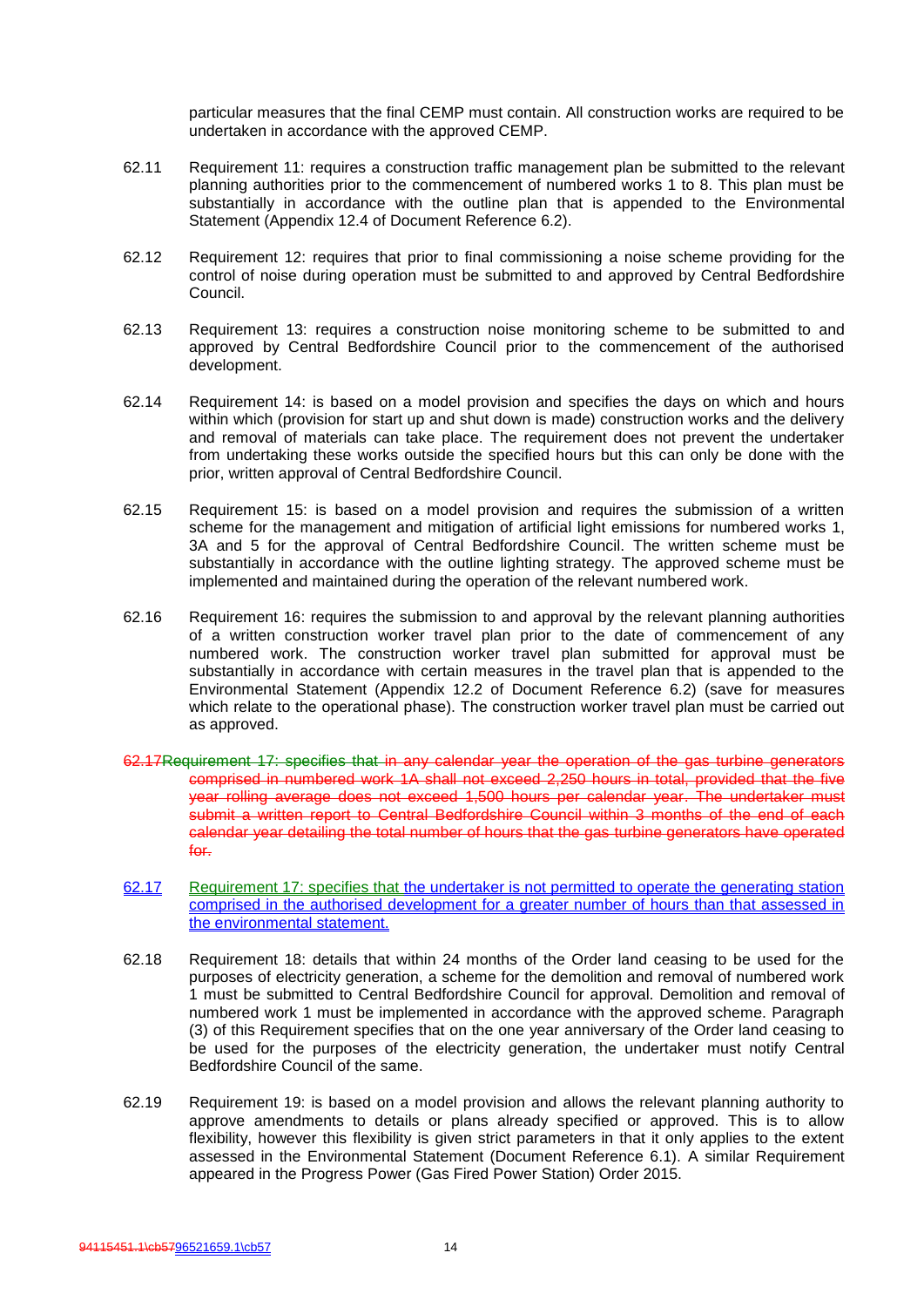particular measures that the final CEMP must contain. All construction works are required to be undertaken in accordance with the approved CEMP.

- 62.11 Requirement 11: requires a construction traffic management plan be submitted to the relevant planning authorities prior to the commencement of numbered works 1 to 8. This plan must be substantially in accordance with the outline plan that is appended to the Environmental Statement (Appendix 12.4 of Document Reference 6.2).
- 62.12 Requirement 12: requires that prior to final commissioning a noise scheme providing for the control of noise during operation must be submitted to and approved by Central Bedfordshire Council.
- 62.13 Requirement 13: requires a construction noise monitoring scheme to be submitted to and approved by Central Bedfordshire Council prior to the commencement of the authorised development.
- 62.14 Requirement 14: is based on a model provision and specifies the days on which and hours within which (provision for start up and shut down is made) construction works and the delivery and removal of materials can take place. The requirement does not prevent the undertaker from undertaking these works outside the specified hours but this can only be done with the prior, written approval of Central Bedfordshire Council.
- 62.15 Requirement 15: is based on a model provision and requires the submission of a written scheme for the management and mitigation of artificial light emissions for numbered works 1, 3A and 5 for the approval of Central Bedfordshire Council. The written scheme must be substantially in accordance with the outline lighting strategy. The approved scheme must be implemented and maintained during the operation of the relevant numbered work.
- 62.16 Requirement 16: requires the submission to and approval by the relevant planning authorities of a written construction worker travel plan prior to the date of commencement of any numbered work. The construction worker travel plan submitted for approval must be substantially in accordance with certain measures in the travel plan that is appended to the Environmental Statement (Appendix 12.2 of Document Reference 6.2) (save for measures which relate to the operational phase). The construction worker travel plan must be carried out as approved.
- 62.17Requirement 17: specifies that in any calendar year the operation of the gas turbine generators comprised in numbered work 1A shall not exceed 2,250 hours in total, provided that the five year rolling average does not exceed 1,500 hours per calendar year. The undertaker must submit a written report to Central Bedfordshire Council within 3 months of the end of each calendar year detailing the total number of hours that the gas turbine generators have operated for.
- 62.17 Requirement 17: specifies that the undertaker is not permitted to operate the generating station comprised in the authorised development for a greater number of hours than that assessed in the environmental statement.
- 62.18 Requirement 18: details that within 24 months of the Order land ceasing to be used for the purposes of electricity generation, a scheme for the demolition and removal of numbered work 1 must be submitted to Central Bedfordshire Council for approval. Demolition and removal of numbered work 1 must be implemented in accordance with the approved scheme. Paragraph (3) of this Requirement specifies that on the one year anniversary of the Order land ceasing to be used for the purposes of the electricity generation, the undertaker must notify Central Bedfordshire Council of the same.
- 62.19 Requirement 19: is based on a model provision and allows the relevant planning authority to approve amendments to details or plans already specified or approved. This is to allow flexibility, however this flexibility is given strict parameters in that it only applies to the extent assessed in the Environmental Statement (Document Reference 6.1). A similar Requirement appeared in the Progress Power (Gas Fired Power Station) Order 2015.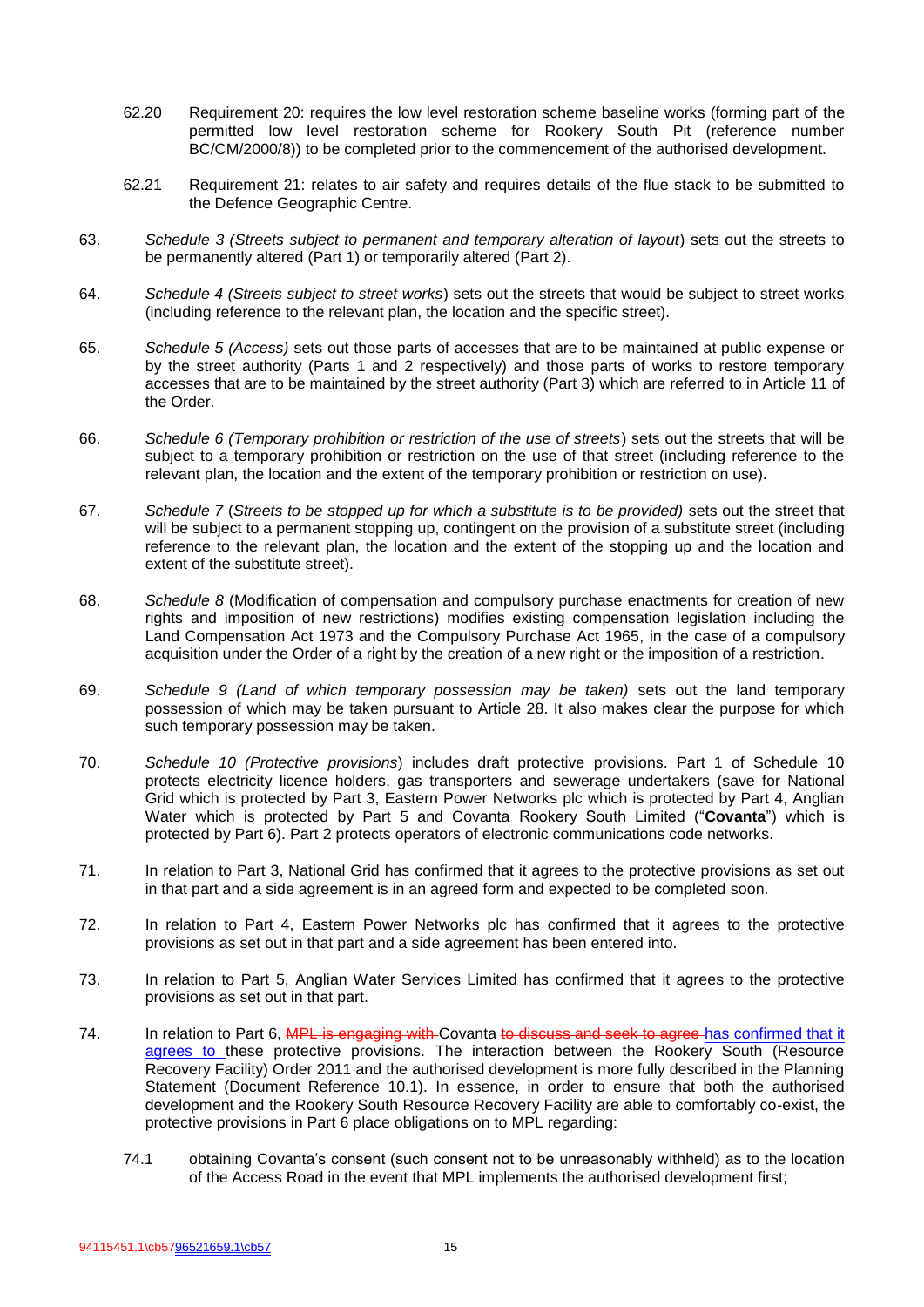- 62.20 Requirement 20: requires the low level restoration scheme baseline works (forming part of the permitted low level restoration scheme for Rookery South Pit (reference number BC/CM/2000/8)) to be completed prior to the commencement of the authorised development.
- 62.21 Requirement 21: relates to air safety and requires details of the flue stack to be submitted to the Defence Geographic Centre.
- 63. *Schedule 3 (Streets subject to permanent and temporary alteration of layout*) sets out the streets to be permanently altered (Part 1) or temporarily altered (Part 2).
- 64. *Schedule 4 (Streets subject to street works*) sets out the streets that would be subject to street works (including reference to the relevant plan, the location and the specific street).
- 65. *Schedule 5 (Access)* sets out those parts of accesses that are to be maintained at public expense or by the street authority (Parts 1 and 2 respectively) and those parts of works to restore temporary accesses that are to be maintained by the street authority (Part 3) which are referred to in Article 11 of the Order.
- 66. *Schedule 6 (Temporary prohibition or restriction of the use of streets*) sets out the streets that will be subject to a temporary prohibition or restriction on the use of that street (including reference to the relevant plan, the location and the extent of the temporary prohibition or restriction on use).
- 67. *Schedule 7* (*Streets to be stopped up for which a substitute is to be provided)* sets out the street that will be subject to a permanent stopping up, contingent on the provision of a substitute street (including reference to the relevant plan, the location and the extent of the stopping up and the location and extent of the substitute street).
- 68. *Schedule 8* (Modification of compensation and compulsory purchase enactments for creation of new rights and imposition of new restrictions) modifies existing compensation legislation including the Land Compensation Act 1973 and the Compulsory Purchase Act 1965, in the case of a compulsory acquisition under the Order of a right by the creation of a new right or the imposition of a restriction.
- 69. *Schedule 9 (Land of which temporary possession may be taken)* sets out the land temporary possession of which may be taken pursuant to Article 28. It also makes clear the purpose for which such temporary possession may be taken.
- 70. *Schedule 10 (Protective provisions*) includes draft protective provisions. Part 1 of Schedule 10 protects electricity licence holders, gas transporters and sewerage undertakers (save for National Grid which is protected by Part 3, Eastern Power Networks plc which is protected by Part 4, Anglian Water which is protected by Part 5 and Covanta Rookery South Limited ("**Covanta**") which is protected by Part 6). Part 2 protects operators of electronic communications code networks.
- 71. In relation to Part 3, National Grid has confirmed that it agrees to the protective provisions as set out in that part and a side agreement is in an agreed form and expected to be completed soon.
- 72. In relation to Part 4, Eastern Power Networks plc has confirmed that it agrees to the protective provisions as set out in that part and a side agreement has been entered into.
- 73. In relation to Part 5, Anglian Water Services Limited has confirmed that it agrees to the protective provisions as set out in that part.
- 74. In relation to Part 6, MPL is engaging with Covanta to discuss and seek to agree has confirmed that it agrees to these protective provisions. The interaction between the Rookery South (Resource Recovery Facility) Order 2011 and the authorised development is more fully described in the Planning Statement (Document Reference 10.1). In essence, in order to ensure that both the authorised development and the Rookery South Resource Recovery Facility are able to comfortably co-exist, the protective provisions in Part 6 place obligations on to MPL regarding:
	- 74.1 obtaining Covanta's consent (such consent not to be unreasonably withheld) as to the location of the Access Road in the event that MPL implements the authorised development first;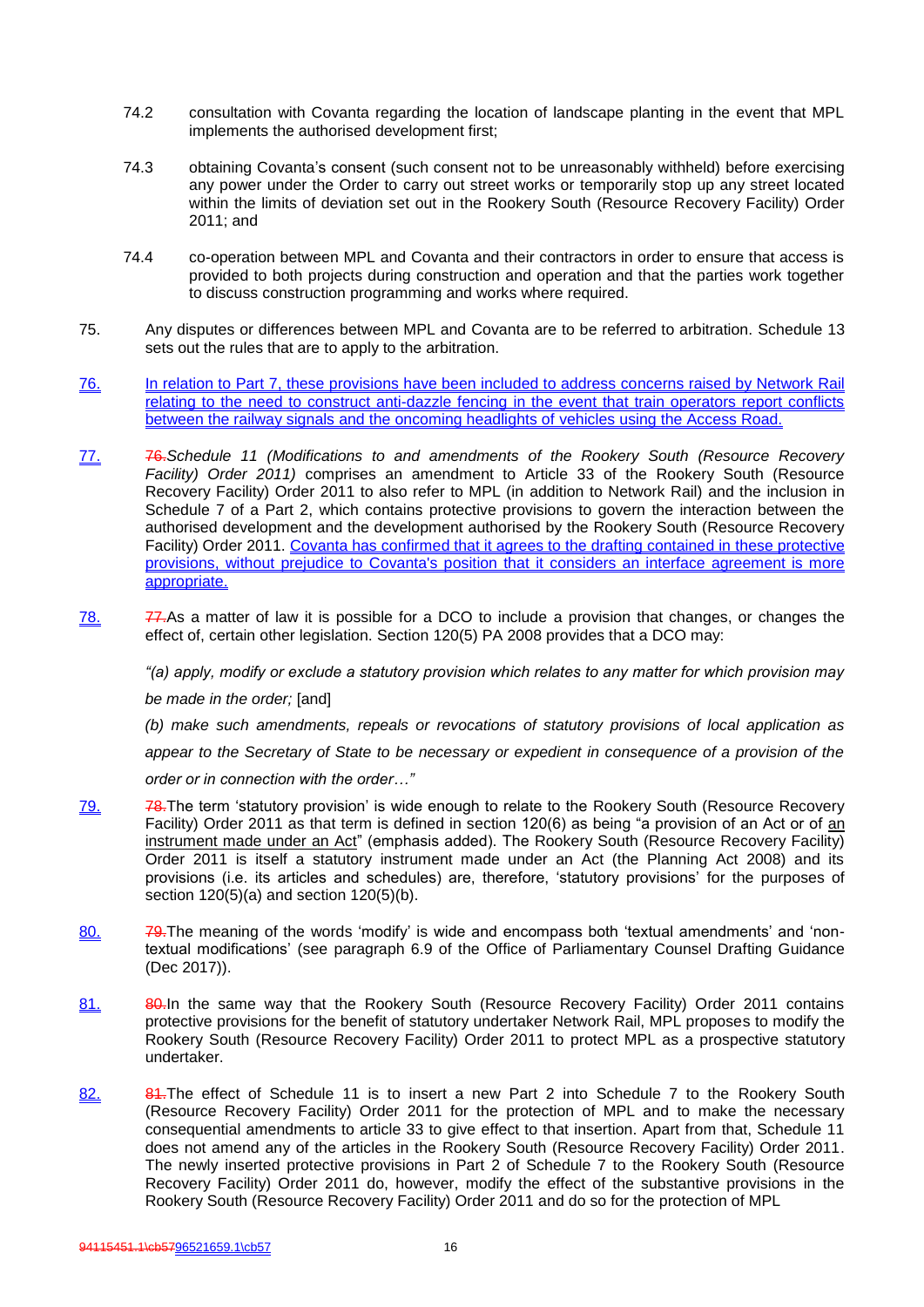- 74.2 consultation with Covanta regarding the location of landscape planting in the event that MPL implements the authorised development first;
- 74.3 obtaining Covanta's consent (such consent not to be unreasonably withheld) before exercising any power under the Order to carry out street works or temporarily stop up any street located within the limits of deviation set out in the Rookery South (Resource Recovery Facility) Order 2011; and
- 74.4 co-operation between MPL and Covanta and their contractors in order to ensure that access is provided to both projects during construction and operation and that the parties work together to discuss construction programming and works where required.
- 75. Any disputes or differences between MPL and Covanta are to be referred to arbitration. Schedule 13 sets out the rules that are to apply to the arbitration.
- 76. In relation to Part 7, these provisions have been included to address concerns raised by Network Rail relating to the need to construct anti-dazzle fencing in the event that train operators report conflicts between the railway signals and the oncoming headlights of vehicles using the Access Road.
- 77. 76.*Schedule 11 (Modifications to and amendments of the Rookery South (Resource Recovery Facility) Order 2011)* comprises an amendment to Article 33 of the Rookery South (Resource Recovery Facility) Order 2011 to also refer to MPL (in addition to Network Rail) and the inclusion in Schedule 7 of a Part 2, which contains protective provisions to govern the interaction between the authorised development and the development authorised by the Rookery South (Resource Recovery Facility) Order 2011. Covanta has confirmed that it agrees to the drafting contained in these protective provisions, without prejudice to Covanta's position that it considers an interface agreement is more appropriate.
- $78.$  77. As a matter of law it is possible for a DCO to include a provision that changes, or changes the effect of, certain other legislation. Section 120(5) PA 2008 provides that a DCO may:

*"(a) apply, modify or exclude a statutory provision which relates to any matter for which provision may be made in the order;* [and]

*(b) make such amendments, repeals or revocations of statutory provisions of local application as appear to the Secretary of State to be necessary or expedient in consequence of a provision of the* 

*order or in connection with the order…"*

- 79. **78.**The term 'statutory provision' is wide enough to relate to the Rookery South (Resource Recovery Facility) Order 2011 as that term is defined in section 120(6) as being "a provision of an Act or of an instrument made under an Act" (emphasis added). The Rookery South (Resource Recovery Facility) Order 2011 is itself a statutory instrument made under an Act (the Planning Act 2008) and its provisions (i.e. its articles and schedules) are, therefore, 'statutory provisions' for the purposes of section 120(5)(a) and section 120(5)(b).
- 80. **79.**The meaning of the words 'modify' is wide and encompass both 'textual amendments' and 'nontextual modifications' (see paragraph 6.9 of the Office of Parliamentary Counsel Drafting Guidance (Dec 2017)).
- 81. 80.In the same way that the Rookery South (Resource Recovery Facility) Order 2011 contains protective provisions for the benefit of statutory undertaker Network Rail, MPL proposes to modify the Rookery South (Resource Recovery Facility) Order 2011 to protect MPL as a prospective statutory undertaker.
- 82. 84.The effect of Schedule 11 is to insert a new Part 2 into Schedule 7 to the Rookery South (Resource Recovery Facility) Order 2011 for the protection of MPL and to make the necessary consequential amendments to article 33 to give effect to that insertion. Apart from that, Schedule 11 does not amend any of the articles in the Rookery South (Resource Recovery Facility) Order 2011. The newly inserted protective provisions in Part 2 of Schedule 7 to the Rookery South (Resource Recovery Facility) Order 2011 do, however, modify the effect of the substantive provisions in the Rookery South (Resource Recovery Facility) Order 2011 and do so for the protection of MPL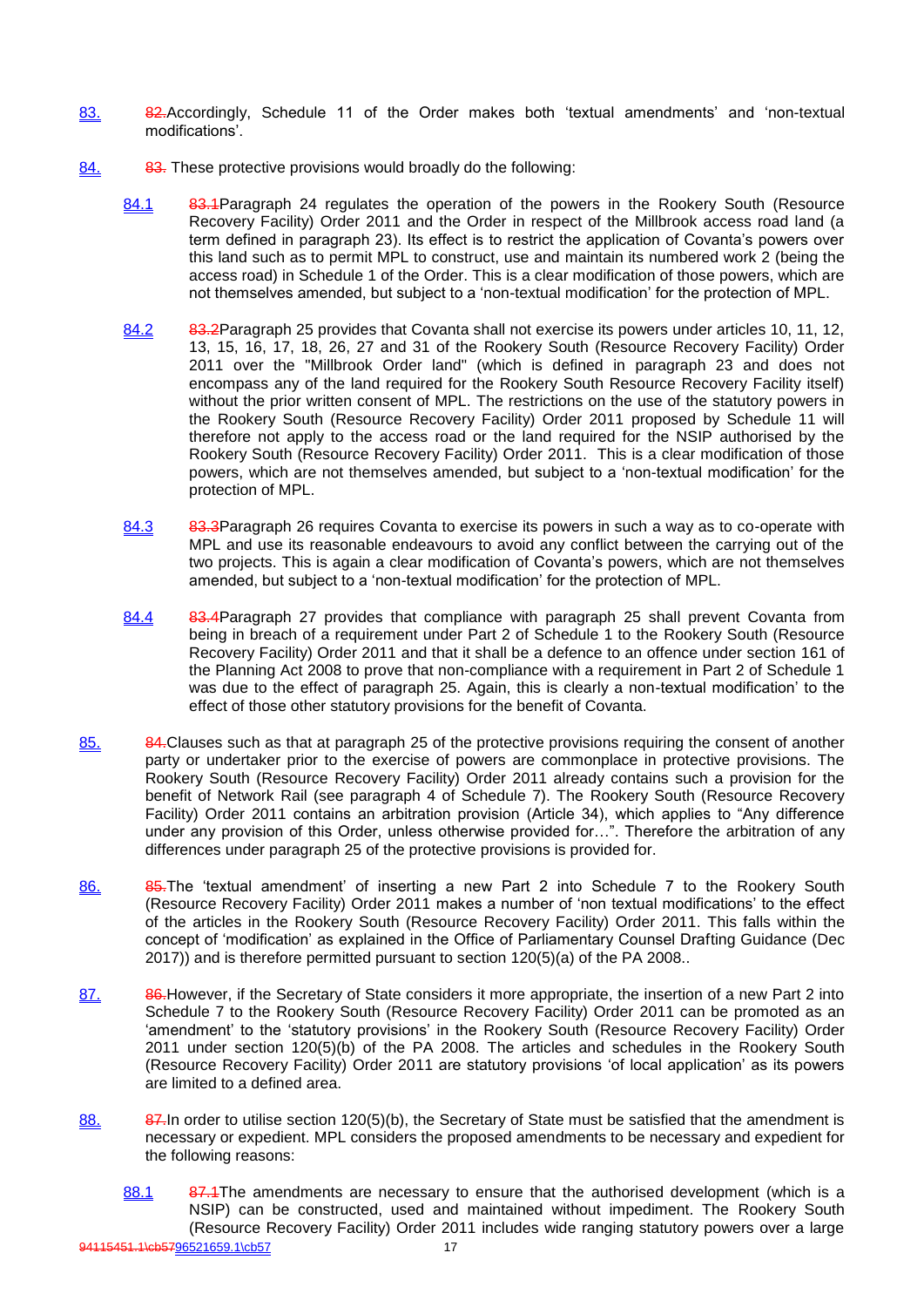- 83. 82.Accordingly, Schedule 11 of the Order makes both 'textual amendments' and 'non-textual modifications'.
- 84. 83. These protective provisions would broadly do the following:
	- 84.1 83.4Paragraph 24 regulates the operation of the powers in the Rookery South (Resource Recovery Facility) Order 2011 and the Order in respect of the Millbrook access road land (a term defined in paragraph 23). Its effect is to restrict the application of Covanta's powers over this land such as to permit MPL to construct, use and maintain its numbered work 2 (being the access road) in Schedule 1 of the Order. This is a clear modification of those powers, which are not themselves amended, but subject to a 'non-textual modification' for the protection of MPL.
	- 84.2 83.2 Paragraph 25 provides that Covanta shall not exercise its powers under articles 10, 11, 12, 13, 15, 16, 17, 18, 26, 27 and 31 of the Rookery South (Resource Recovery Facility) Order 2011 over the "Millbrook Order land" (which is defined in paragraph 23 and does not encompass any of the land required for the Rookery South Resource Recovery Facility itself) without the prior written consent of MPL. The restrictions on the use of the statutory powers in the Rookery South (Resource Recovery Facility) Order 2011 proposed by Schedule 11 will therefore not apply to the access road or the land required for the NSIP authorised by the Rookery South (Resource Recovery Facility) Order 2011. This is a clear modification of those powers, which are not themselves amended, but subject to a 'non-textual modification' for the protection of MPL.
	- 84.3 83.3Paragraph 26 requires Covanta to exercise its powers in such a way as to co-operate with MPL and use its reasonable endeavours to avoid any conflict between the carrying out of the two projects. This is again a clear modification of Covanta's powers, which are not themselves amended, but subject to a 'non-textual modification' for the protection of MPL.
	- 84.4 83.4Paragraph 27 provides that compliance with paragraph 25 shall prevent Covanta from being in breach of a requirement under Part 2 of Schedule 1 to the Rookery South (Resource Recovery Facility) Order 2011 and that it shall be a defence to an offence under section 161 of the Planning Act 2008 to prove that non-compliance with a requirement in Part 2 of Schedule 1 was due to the effect of paragraph 25. Again, this is clearly a non-textual modification' to the effect of those other statutory provisions for the benefit of Covanta.
- 85. 84. Clauses such as that at paragraph 25 of the protective provisions requiring the consent of another party or undertaker prior to the exercise of powers are commonplace in protective provisions. The Rookery South (Resource Recovery Facility) Order 2011 already contains such a provision for the benefit of Network Rail (see paragraph 4 of Schedule 7). The Rookery South (Resource Recovery Facility) Order 2011 contains an arbitration provision (Article 34), which applies to "Any difference under any provision of this Order, unless otherwise provided for…". Therefore the arbitration of any differences under paragraph 25 of the protective provisions is provided for.
- 86. 85.The 'textual amendment' of inserting a new Part 2 into Schedule 7 to the Rookery South (Resource Recovery Facility) Order 2011 makes a number of 'non textual modifications' to the effect of the articles in the Rookery South (Resource Recovery Facility) Order 2011. This falls within the concept of 'modification' as explained in the Office of Parliamentary Counsel Drafting Guidance (Dec 2017)) and is therefore permitted pursuant to section 120(5)(a) of the PA 2008..
- 87. 86. However, if the Secretary of State considers it more appropriate, the insertion of a new Part 2 into Schedule 7 to the Rookery South (Resource Recovery Facility) Order 2011 can be promoted as an 'amendment' to the 'statutory provisions' in the Rookery South (Resource Recovery Facility) Order 2011 under section 120(5)(b) of the PA 2008. The articles and schedules in the Rookery South (Resource Recovery Facility) Order 2011 are statutory provisions 'of local application' as its powers are limited to a defined area.
- 88. 87. 87. In order to utilise section  $120(5)(b)$ , the Secretary of State must be satisfied that the amendment is necessary or expedient. MPL considers the proposed amendments to be necessary and expedient for the following reasons:
	- 88.1 87.4The amendments are necessary to ensure that the authorised development (which is a NSIP) can be constructed, used and maintained without impediment. The Rookery South (Resource Recovery Facility) Order 2011 includes wide ranging statutory powers over a large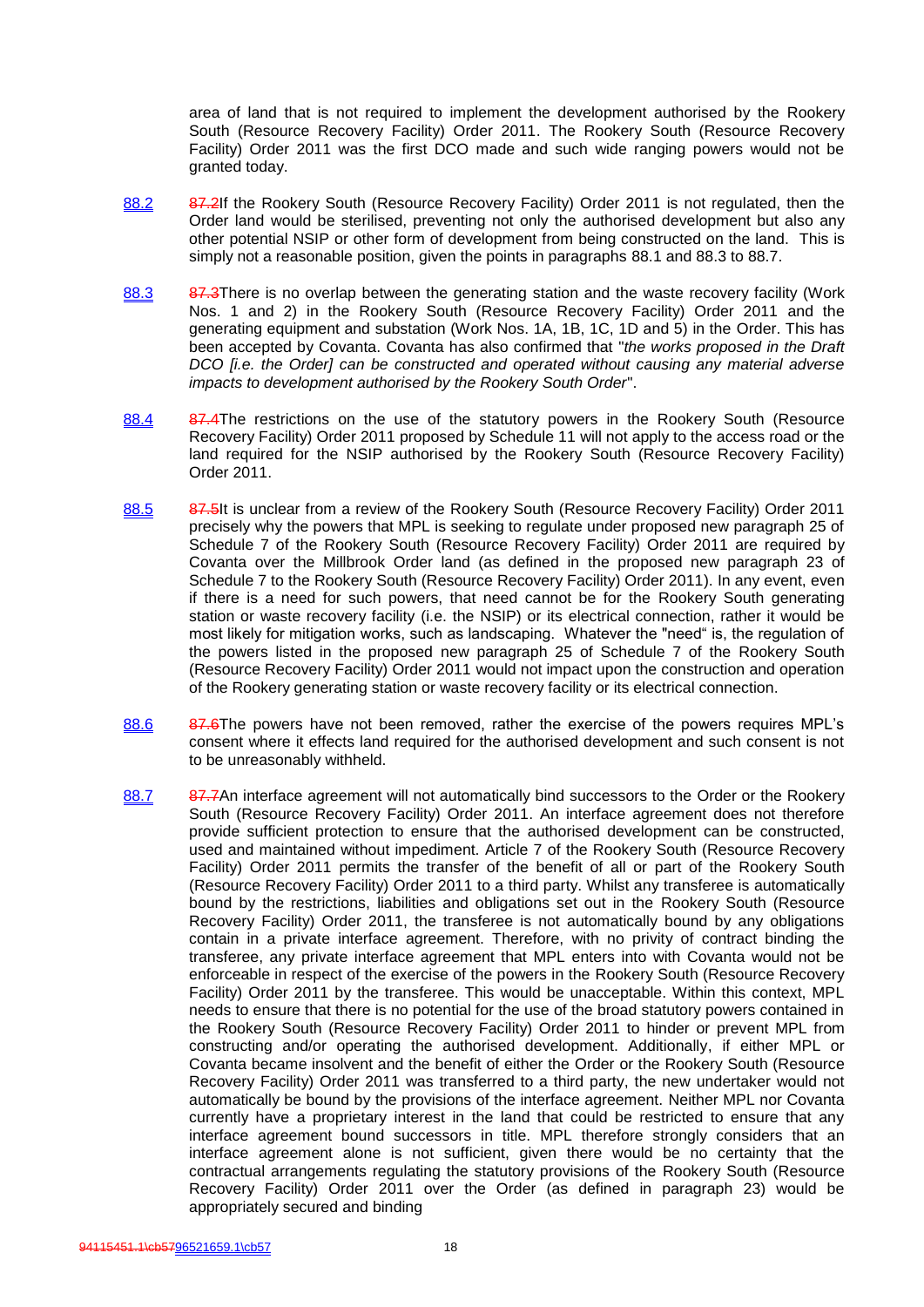area of land that is not required to implement the development authorised by the Rookery South (Resource Recovery Facility) Order 2011. The Rookery South (Resource Recovery Facility) Order 2011 was the first DCO made and such wide ranging powers would not be granted today.

- 88.2 87.2If the Rookery South (Resource Recovery Facility) Order 2011 is not regulated, then the Order land would be sterilised, preventing not only the authorised development but also any other potential NSIP or other form of development from being constructed on the land. This is simply not a reasonable position, given the points in paragraphs 88.1 and 88.3 to 88.7.
- 88.3 87.3There is no overlap between the generating station and the waste recovery facility (Work Nos. 1 and 2) in the Rookery South (Resource Recovery Facility) Order 2011 and the generating equipment and substation (Work Nos. 1A, 1B, 1C, 1D and 5) in the Order. This has been accepted by Covanta. Covanta has also confirmed that "*the works proposed in the Draft DCO [i.e. the Order] can be constructed and operated without causing any material adverse impacts to development authorised by the Rookery South Order*".
- 88.4 87.4The restrictions on the use of the statutory powers in the Rookery South (Resource Recovery Facility) Order 2011 proposed by Schedule 11 will not apply to the access road or the land required for the NSIP authorised by the Rookery South (Resource Recovery Facility) Order 2011.
- 88.5 87.5lt is unclear from a review of the Rookery South (Resource Recovery Facility) Order 2011 precisely why the powers that MPL is seeking to regulate under proposed new paragraph 25 of Schedule 7 of the Rookery South (Resource Recovery Facility) Order 2011 are required by Covanta over the Millbrook Order land (as defined in the proposed new paragraph 23 of Schedule 7 to the Rookery South (Resource Recovery Facility) Order 2011). In any event, even if there is a need for such powers, that need cannot be for the Rookery South generating station or waste recovery facility (i.e. the NSIP) or its electrical connection, rather it would be most likely for mitigation works, such as landscaping. Whatever the "need" is, the regulation of the powers listed in the proposed new paragraph 25 of Schedule 7 of the Rookery South (Resource Recovery Facility) Order 2011 would not impact upon the construction and operation of the Rookery generating station or waste recovery facility or its electrical connection.
- 88.6 87.6The powers have not been removed, rather the exercise of the powers requires MPL's consent where it effects land required for the authorised development and such consent is not to be unreasonably withheld.
- 88.7 87.7An interface agreement will not automatically bind successors to the Order or the Rookery South (Resource Recovery Facility) Order 2011. An interface agreement does not therefore provide sufficient protection to ensure that the authorised development can be constructed, used and maintained without impediment. Article 7 of the Rookery South (Resource Recovery Facility) Order 2011 permits the transfer of the benefit of all or part of the Rookery South (Resource Recovery Facility) Order 2011 to a third party. Whilst any transferee is automatically bound by the restrictions, liabilities and obligations set out in the Rookery South (Resource Recovery Facility) Order 2011, the transferee is not automatically bound by any obligations contain in a private interface agreement. Therefore, with no privity of contract binding the transferee, any private interface agreement that MPL enters into with Covanta would not be enforceable in respect of the exercise of the powers in the Rookery South (Resource Recovery Facility) Order 2011 by the transferee. This would be unacceptable. Within this context, MPL needs to ensure that there is no potential for the use of the broad statutory powers contained in the Rookery South (Resource Recovery Facility) Order 2011 to hinder or prevent MPL from constructing and/or operating the authorised development. Additionally, if either MPL or Covanta became insolvent and the benefit of either the Order or the Rookery South (Resource Recovery Facility) Order 2011 was transferred to a third party, the new undertaker would not automatically be bound by the provisions of the interface agreement. Neither MPL nor Covanta currently have a proprietary interest in the land that could be restricted to ensure that any interface agreement bound successors in title. MPL therefore strongly considers that an interface agreement alone is not sufficient, given there would be no certainty that the contractual arrangements regulating the statutory provisions of the Rookery South (Resource Recovery Facility) Order 2011 over the Order (as defined in paragraph 23) would be appropriately secured and binding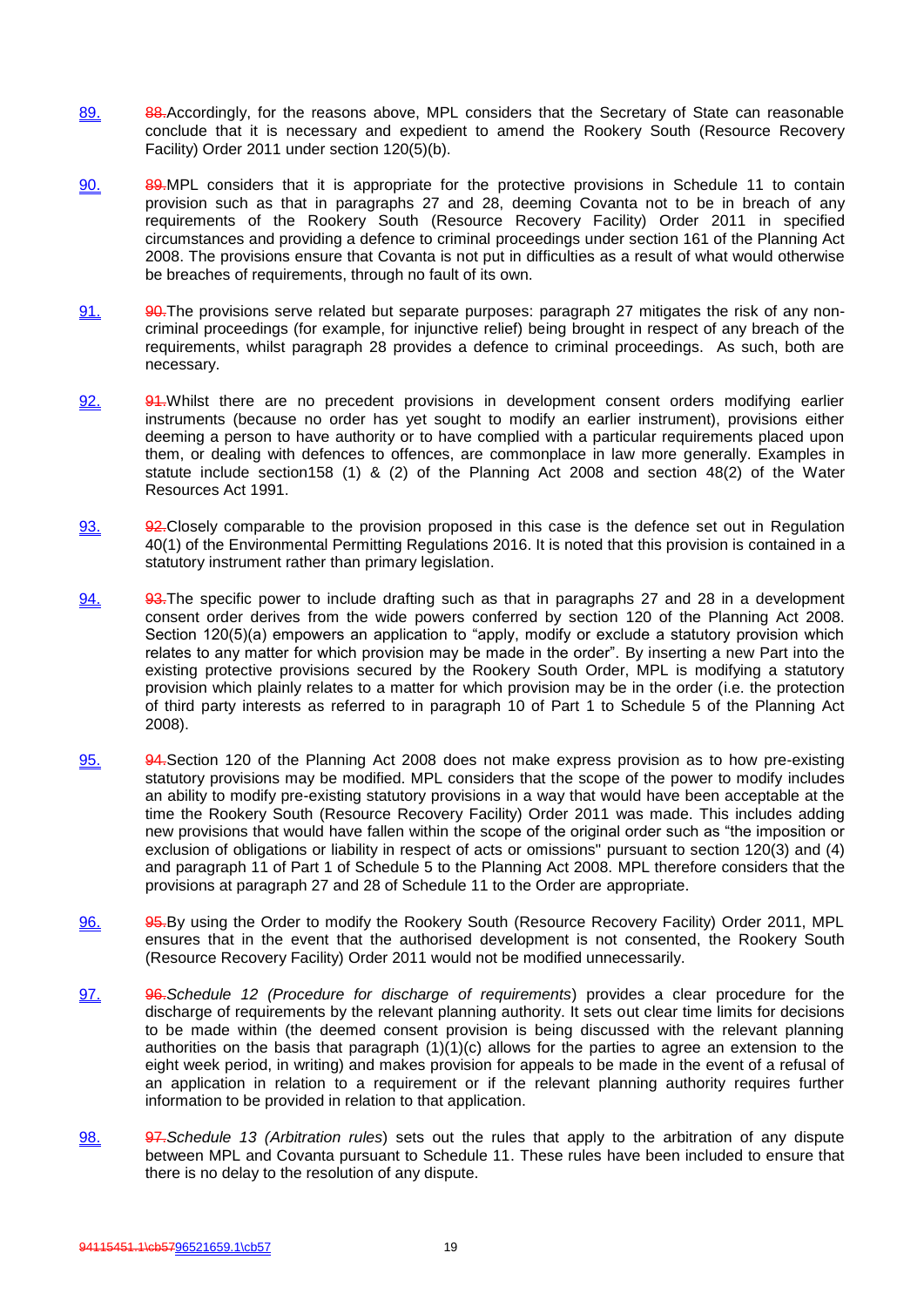- 89. 88.Accordingly, for the reasons above, MPL considers that the Secretary of State can reasonable conclude that it is necessary and expedient to amend the Rookery South (Resource Recovery Facility) Order 2011 under section 120(5)(b).
- 90. 89.MPL considers that it is appropriate for the protective provisions in Schedule 11 to contain provision such as that in paragraphs 27 and 28, deeming Covanta not to be in breach of any requirements of the Rookery South (Resource Recovery Facility) Order 2011 in specified circumstances and providing a defence to criminal proceedings under section 161 of the Planning Act 2008. The provisions ensure that Covanta is not put in difficulties as a result of what would otherwise be breaches of requirements, through no fault of its own.
- 91. 90. The provisions serve related but separate purposes: paragraph 27 mitigates the risk of any noncriminal proceedings (for example, for injunctive relief) being brought in respect of any breach of the requirements, whilst paragraph 28 provides a defence to criminal proceedings. As such, both are necessary.
- 92. 94. Whilst there are no precedent provisions in development consent orders modifying earlier instruments (because no order has yet sought to modify an earlier instrument), provisions either deeming a person to have authority or to have complied with a particular requirements placed upon them, or dealing with defences to offences, are commonplace in law more generally. Examples in statute include section158 (1) & (2) of the Planning Act 2008 and section 48(2) of the Water Resources Act 1991.
- 93.  $92$ -Closely comparable to the provision proposed in this case is the defence set out in Regulation 40(1) of the Environmental Permitting Regulations 2016. It is noted that this provision is contained in a statutory instrument rather than primary legislation.
- 94. 93. 93. The specific power to include drafting such as that in paragraphs 27 and 28 in a development consent order derives from the wide powers conferred by section 120 of the Planning Act 2008. Section 120(5)(a) empowers an application to "apply, modify or exclude a statutory provision which relates to any matter for which provision may be made in the order". By inserting a new Part into the existing protective provisions secured by the Rookery South Order, MPL is modifying a statutory provision which plainly relates to a matter for which provision may be in the order (i.e. the protection of third party interests as referred to in paragraph 10 of Part 1 to Schedule 5 of the Planning Act 2008).
- 95. 94.Section 120 of the Planning Act 2008 does not make express provision as to how pre-existing statutory provisions may be modified. MPL considers that the scope of the power to modify includes an ability to modify pre-existing statutory provisions in a way that would have been acceptable at the time the Rookery South (Resource Recovery Facility) Order 2011 was made. This includes adding new provisions that would have fallen within the scope of the original order such as "the imposition or exclusion of obligations or liability in respect of acts or omissions" pursuant to section 120(3) and (4) and paragraph 11 of Part 1 of Schedule 5 to the Planning Act 2008. MPL therefore considers that the provisions at paragraph 27 and 28 of Schedule 11 to the Order are appropriate.
- 96. 95.By using the Order to modify the Rookery South (Resource Recovery Facility) Order 2011, MPL ensures that in the event that the authorised development is not consented, the Rookery South (Resource Recovery Facility) Order 2011 would not be modified unnecessarily.
- 97. 96.*Schedule 12 (Procedure for discharge of requirements*) provides a clear procedure for the discharge of requirements by the relevant planning authority. It sets out clear time limits for decisions to be made within (the deemed consent provision is being discussed with the relevant planning authorities on the basis that paragraph (1)(1)(c) allows for the parties to agree an extension to the eight week period, in writing) and makes provision for appeals to be made in the event of a refusal of an application in relation to a requirement or if the relevant planning authority requires further information to be provided in relation to that application.
- 98. 97.*Schedule 13 (Arbitration rules*) sets out the rules that apply to the arbitration of any dispute between MPL and Covanta pursuant to Schedule 11. These rules have been included to ensure that there is no delay to the resolution of any dispute.